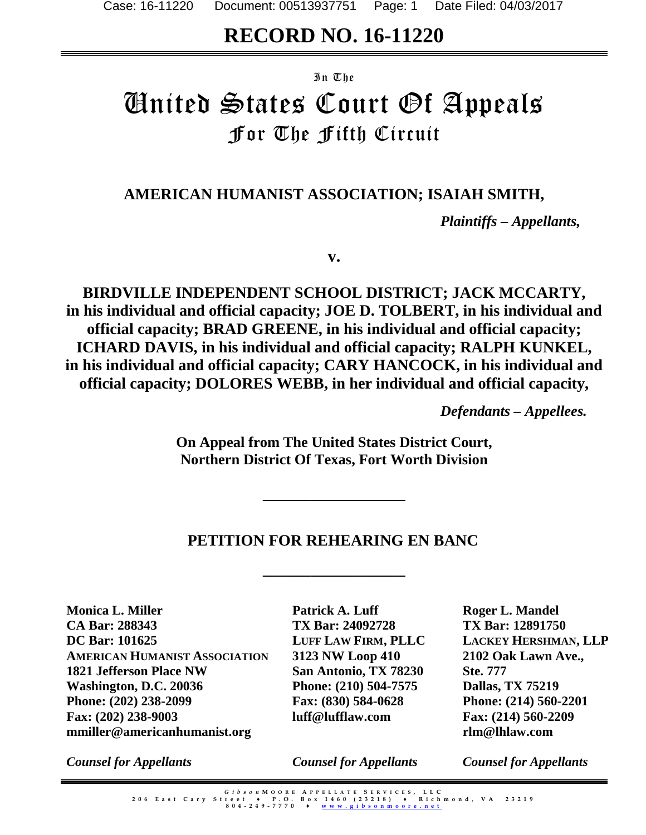# **RECORD NO. 16-11220**

#### In The

# United States Court Of Appeals For The Fifth Circuit

# **AMERICAN HUMANIST ASSOCIATION; ISAIAH SMITH,**

*Plaintiffs – Appellants,*

**v.**

**BIRDVILLE INDEPENDENT SCHOOL DISTRICT; JACK MCCARTY, in his individual and official capacity; JOE D. TOLBERT, in his individual and official capacity; BRAD GREENE, in his individual and official capacity; ICHARD DAVIS, in his individual and official capacity; RALPH KUNKEL, in his individual and official capacity; CARY HANCOCK, in his individual and official capacity; DOLORES WEBB, in her individual and official capacity,**

*Defendants – Appellees.*

**On Appeal from The United States District Court, Northern District Of Texas, Fort Worth Division**

**\_\_\_\_\_\_\_\_\_\_\_\_\_\_\_\_\_\_**

# **PETITION FOR REHEARING EN BANC**

**\_\_\_\_\_\_\_\_\_\_\_\_\_\_\_\_\_\_**

**Monica L. Miller CA Bar: 288343 DC Bar: 101625 AMERICAN HUMANIST ASSOCIATION 1821 Jefferson Place NW Washington, D.C. 20036 Phone: (202) 238-2099 Fax: (202) 238-9003 mmiller@americanhumanist.org**

**Patrick A. Luff TX Bar: 24092728 LUFF LAW FIRM, PLLC 3123 NW Loop 410 San Antonio, TX 78230 Phone: (210) 504-7575 Fax: (830) 584-0628 luff@lufflaw.com**

**Roger L. Mandel TX Bar: 12891750 LACKEY HERSHMAN, LLP 2102 Oak Lawn Ave., Ste. 777 Dallas, TX 75219 Phone: (214) 560-2201 Fax: (214) 560-2209 rlm@lhlaw.com**

*Counsel for Appellants*

*Counsel for Appellants*

*Counsel for Appellants*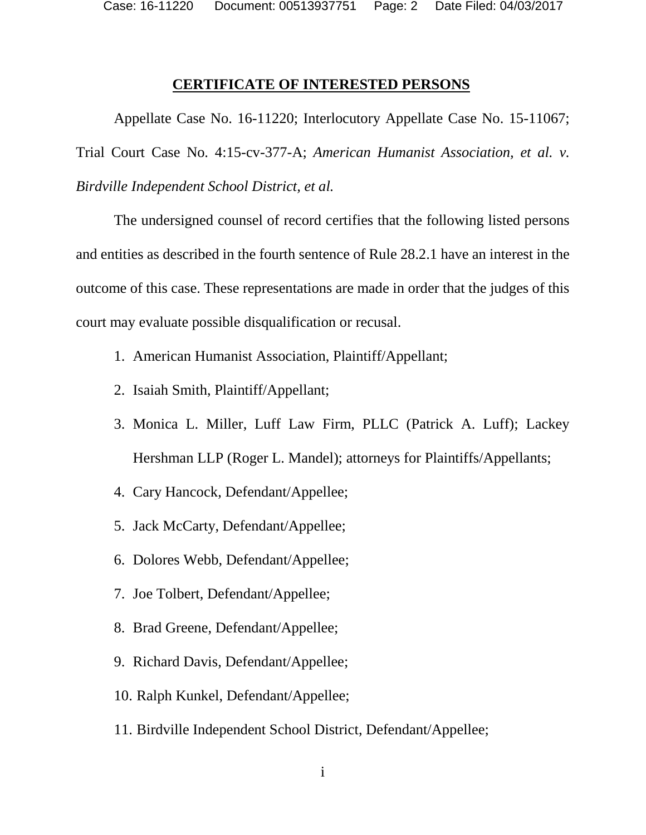Case: 16-11220 Document: 00513937751 Page: 2 Date Filed: 04/03/2017

#### **CERTIFICATE OF INTERESTED PERSONS**

Appellate Case No. 16-11220; Interlocutory Appellate Case No. 15-11067; Trial Court Case No. 4:15-cv-377-A; *American Humanist Association, et al. v. Birdville Independent School District, et al.* 

The undersigned counsel of record certifies that the following listed persons and entities as described in the fourth sentence of Rule 28.2.1 have an interest in the outcome of this case. These representations are made in order that the judges of this court may evaluate possible disqualification or recusal.

- 1. American Humanist Association, Plaintiff/Appellant;
- 2. Isaiah Smith, Plaintiff/Appellant;
- 3. Monica L. Miller, Luff Law Firm, PLLC (Patrick A. Luff); Lackey Hershman LLP (Roger L. Mandel); attorneys for Plaintiffs/Appellants;
- 4. Cary Hancock, Defendant/Appellee;
- 5. Jack McCarty, Defendant/Appellee;
- 6. Dolores Webb, Defendant/Appellee;
- 7. Joe Tolbert, Defendant/Appellee;
- 8. Brad Greene, Defendant/Appellee;
- 9. Richard Davis, Defendant/Appellee;
- 10. Ralph Kunkel, Defendant/Appellee;
- 11. Birdville Independent School District, Defendant/Appellee;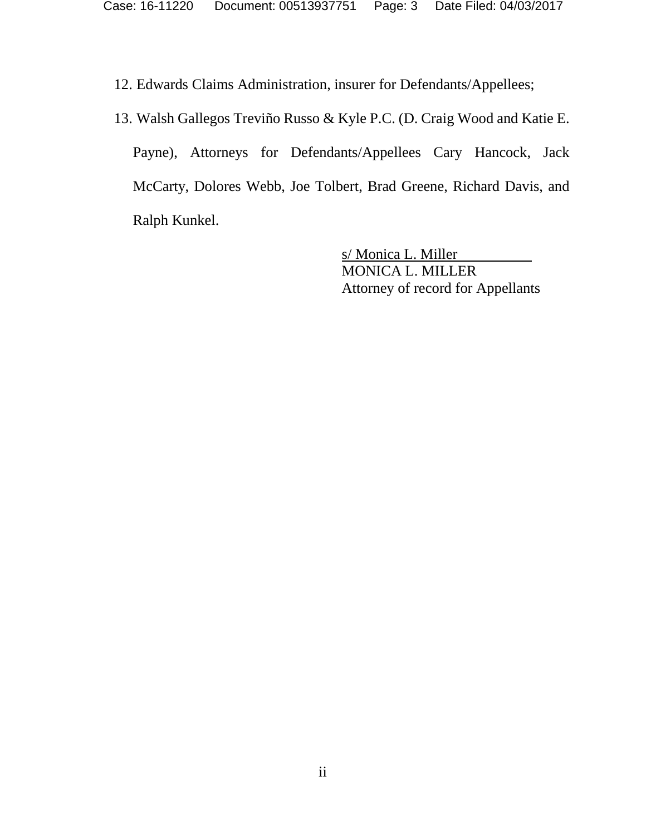12. Edwards Claims Administration, insurer for Defendants/Appellees;

13. Walsh Gallegos Treviño Russo & Kyle P.C. (D. Craig Wood and Katie E.

Payne), Attorneys for Defendants/Appellees Cary Hancock, Jack McCarty, Dolores Webb, Joe Tolbert, Brad Greene, Richard Davis, and Ralph Kunkel.

> s/ Monica L. Miller MONICA L. MILLER Attorney of record for Appellants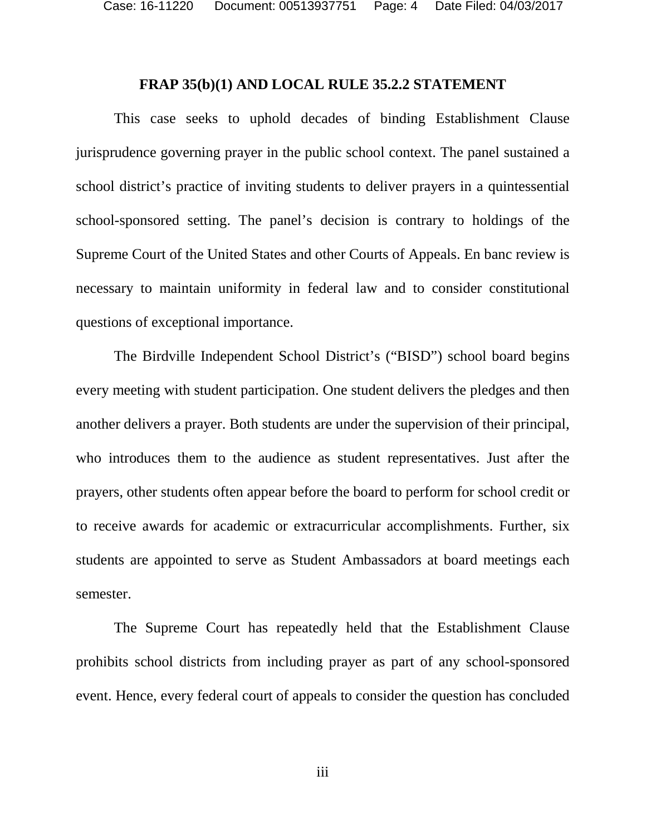#### **FRAP 35(b)(1) AND LOCAL RULE 35.2.2 STATEMENT**

This case seeks to uphold decades of binding Establishment Clause jurisprudence governing prayer in the public school context. The panel sustained a school district's practice of inviting students to deliver prayers in a quintessential school-sponsored setting. The panel's decision is contrary to holdings of the Supreme Court of the United States and other Courts of Appeals. En banc review is necessary to maintain uniformity in federal law and to consider constitutional questions of exceptional importance.

The Birdville Independent School District's ("BISD") school board begins every meeting with student participation. One student delivers the pledges and then another delivers a prayer. Both students are under the supervision of their principal, who introduces them to the audience as student representatives. Just after the prayers, other students often appear before the board to perform for school credit or to receive awards for academic or extracurricular accomplishments. Further, six students are appointed to serve as Student Ambassadors at board meetings each semester.

The Supreme Court has repeatedly held that the Establishment Clause prohibits school districts from including prayer as part of any school-sponsored event. Hence, every federal court of appeals to consider the question has concluded

iii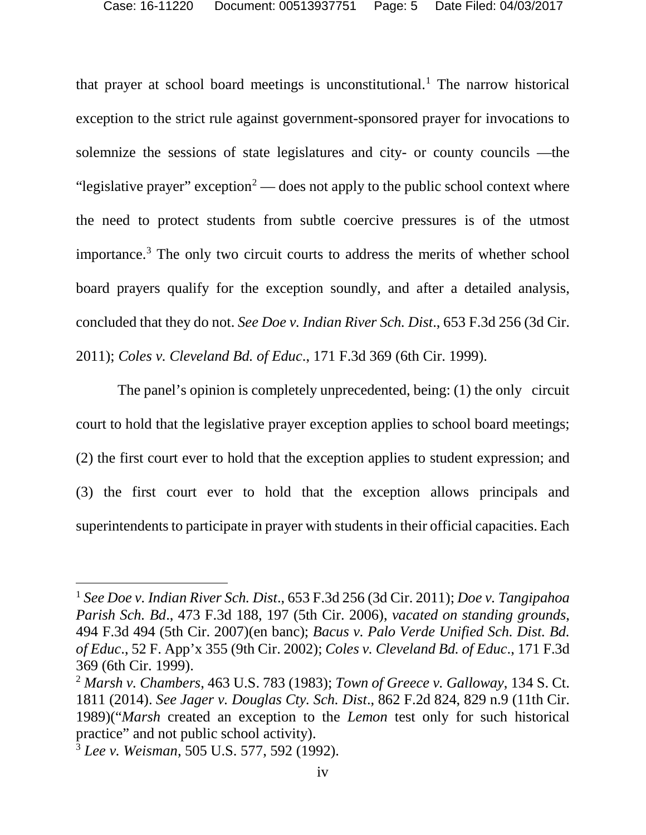that prayer at school board meetings is unconstitutional.<sup>[1](#page-4-0)</sup> The narrow historical exception to the strict rule against government-sponsored prayer for invocations to solemnize the sessions of state legislatures and city- or county councils —the "legislative prayer" exception<sup>[2](#page-4-1)</sup> — does not apply to the public school context where the need to protect students from subtle coercive pressures is of the utmost importance.[3](#page-4-2) The only two circuit courts to address the merits of whether school board prayers qualify for the exception soundly, and after a detailed analysis, concluded that they do not. *See Doe v. Indian River Sch. Dist*., 653 F.3d 256 (3d Cir. 2011); *Coles v. Cleveland Bd. of Educ*., 171 F.3d 369 (6th Cir. 1999).

The panel's opinion is completely unprecedented, being: (1) the only circuit court to hold that the legislative prayer exception applies to school board meetings; (2) the first court ever to hold that the exception applies to student expression; and (3) the first court ever to hold that the exception allows principals and superintendents to participate in prayer with students in their official capacities. Each

<span id="page-4-0"></span> <sup>1</sup> *See Doe v. Indian River Sch. Dist*., 653 F.3d 256 (3d Cir. 2011); *Doe v. Tangipahoa Parish Sch. Bd*., 473 F.3d 188, 197 (5th Cir. 2006), *vacated on standing grounds*, 494 F.3d 494 (5th Cir. 2007)(en banc); *Bacus v. Palo Verde Unified Sch. Dist. Bd. of Educ*., 52 F. App'x 355 (9th Cir. 2002); *Coles v. Cleveland Bd. of Educ*., 171 F.3d 369 (6th Cir. 1999).

<span id="page-4-1"></span><sup>2</sup> *Marsh v. Chambers*, 463 U.S. 783 (1983); *Town of Greece v. Galloway*, 134 S. Ct. 1811 (2014). *See Jager v. Douglas Cty. Sch. Dist*., 862 F.2d 824, 829 n.9 (11th Cir. 1989)("*Marsh* created an exception to the *Lemon* test only for such historical practice" and not public school activity).

<span id="page-4-2"></span><sup>3</sup> *Lee v. Weisman*, 505 U.S. 577, 592 (1992).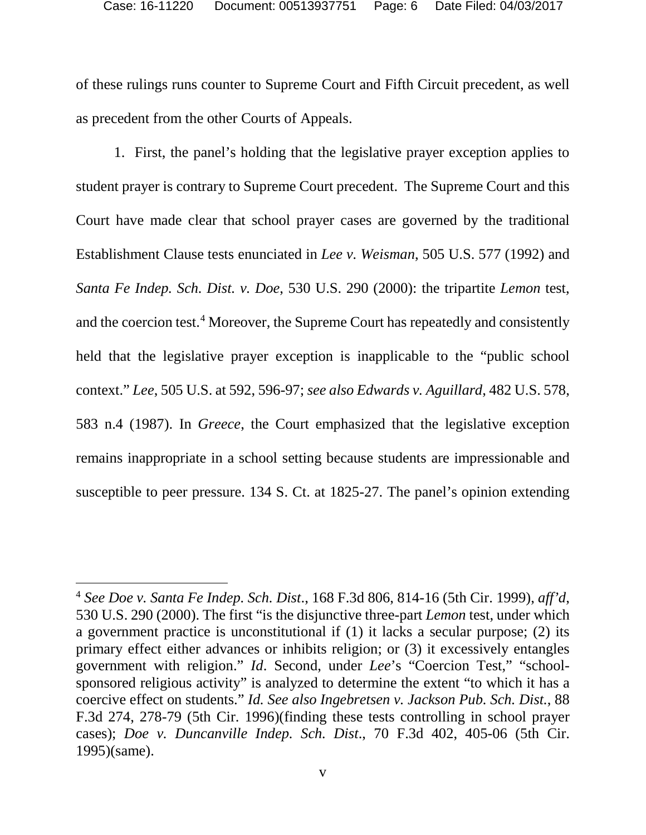of these rulings runs counter to Supreme Court and Fifth Circuit precedent, as well as precedent from the other Courts of Appeals.

1. First, the panel's holding that the legislative prayer exception applies to student prayer is contrary to Supreme Court precedent. The Supreme Court and this Court have made clear that school prayer cases are governed by the traditional Establishment Clause tests enunciated in *Lee v. Weisman*, 505 U.S. 577 (1992) and *Santa Fe Indep. Sch. Dist. v. Doe*, 530 U.S. 290 (2000): the tripartite *Lemon* test, and the coercion test. [4](#page-5-0) Moreover, the Supreme Court has repeatedly and consistently held that the legislative prayer exception is inapplicable to the "public school context." *Lee*, 505 U.S. at 592, 596-97; *see also Edwards v. Aguillard*, 482 U.S. 578, 583 n.4 (1987). In *Greece*, the Court emphasized that the legislative exception remains inappropriate in a school setting because students are impressionable and susceptible to peer pressure. 134 S. Ct. at 1825-27. The panel's opinion extending

<span id="page-5-0"></span> <sup>4</sup> *See Doe v. Santa Fe Indep. Sch. Dist*., 168 F.3d 806, 814-16 (5th Cir. 1999), *aff'd*, 530 U.S. 290 (2000). The first "is the disjunctive three-part *Lemon* test, under which a government practice is unconstitutional if (1) it lacks a secular purpose; (2) its primary effect either advances or inhibits religion; or (3) it excessively entangles government with religion." *Id*. Second, under *Lee*'s "Coercion Test," "schoolsponsored religious activity" is analyzed to determine the extent "to which it has a coercive effect on students." *Id. See also Ingebretsen v. Jackson Pub. Sch. Dist.*, 88 F.3d 274, 278-79 (5th Cir. 1996)(finding these tests controlling in school prayer cases); *Doe v. Duncanville Indep. Sch. Dist*., 70 F.3d 402, 405-06 (5th Cir. 1995)(same).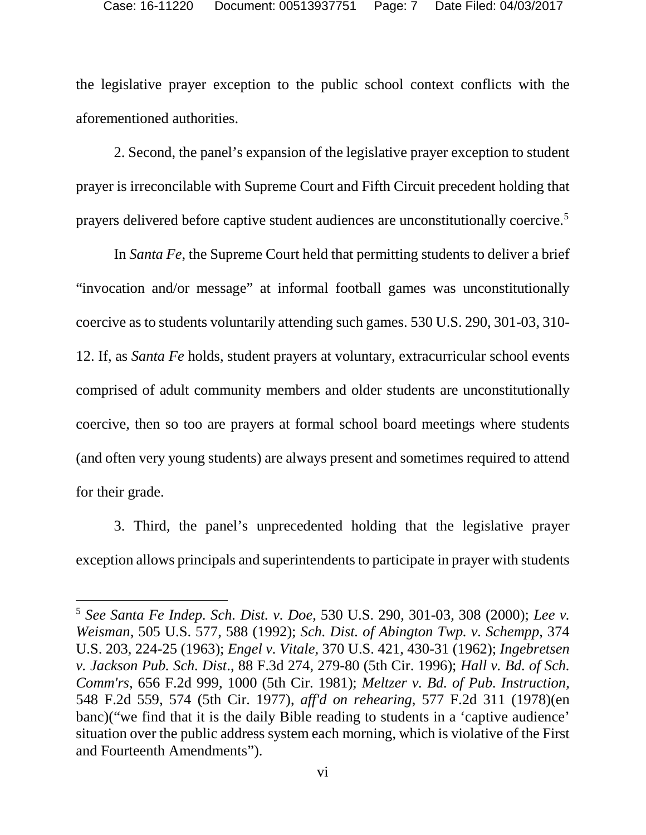the legislative prayer exception to the public school context conflicts with the aforementioned authorities.

2. Second, the panel's expansion of the legislative prayer exception to student prayer is irreconcilable with Supreme Court and Fifth Circuit precedent holding that prayers delivered before captive student audiences are unconstitutionally coercive.[5](#page-6-0)

In *Santa Fe*, the Supreme Court held that permitting students to deliver a brief "invocation and/or message" at informal football games was unconstitutionally coercive as to students voluntarily attending such games. 530 U.S. 290, 301-03, 310- 12. If, as *Santa Fe* holds, student prayers at voluntary, extracurricular school events comprised of adult community members and older students are unconstitutionally coercive, then so too are prayers at formal school board meetings where students (and often very young students) are always present and sometimes required to attend for their grade.

3. Third, the panel's unprecedented holding that the legislative prayer exception allows principals and superintendents to participate in prayer with students

<span id="page-6-0"></span> <sup>5</sup> *See Santa Fe Indep. Sch. Dist. v. Doe*, 530 U.S. 290, 301-03, 308 (2000); *Lee v. Weisman*, 505 U.S. 577, 588 (1992); *Sch. Dist. of Abington Twp. v. Schempp*, 374 U.S. 203, 224-25 (1963); *Engel v. Vitale*, 370 U.S. 421, 430-31 (1962); *Ingebretsen v. Jackson Pub. Sch. Dist*., 88 F.3d 274, 279-80 (5th Cir. 1996); *Hall v. Bd. of Sch. Comm'rs*, 656 F.2d 999, 1000 (5th Cir. 1981); *Meltzer v. Bd. of Pub. Instruction*, 548 F.2d 559, 574 (5th Cir. 1977), *aff'd on rehearing*, 577 F.2d 311 (1978)(en banc)("we find that it is the daily Bible reading to students in a 'captive audience' situation over the public address system each morning, which is violative of the First and Fourteenth Amendments").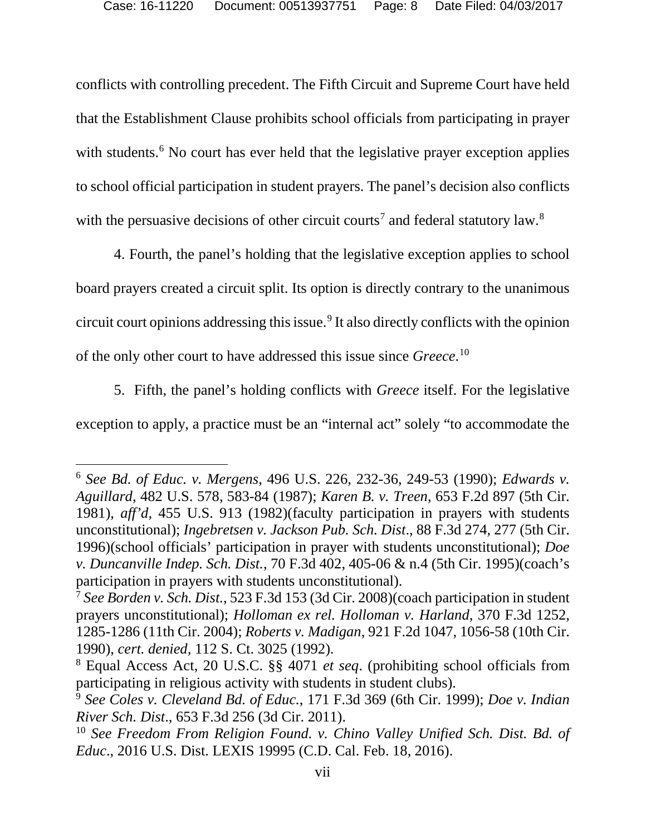conflicts with controlling precedent. The Fifth Circuit and Supreme Court have held that the Establishment Clause prohibits school officials from participating in prayer with students.<sup>[6](#page-7-0)</sup> No court has ever held that the legislative prayer exception applies to school official participation in student prayers. The panel's decision also conflicts with the persuasive decisions of other circuit courts<sup>[7](#page-7-1)</sup> and federal statutory law.<sup>[8](#page-7-2)</sup>

4. Fourth, the panel's holding that the legislative exception applies to school board prayers created a circuit split. Its option is directly contrary to the unanimous circuit court opinions addressing this issue.[9](#page-7-3) It also directly conflicts with the opinion of the only other court to have addressed this issue since *Greece*. [10](#page-7-4)

5. Fifth, the panel's holding conflicts with *Greece* itself. For the legislative exception to apply, a practice must be an "internal act" solely "to accommodate the

<span id="page-7-0"></span> <sup>6</sup> *See Bd. of Educ. v. Mergens*, 496 U.S. 226, 232-36, 249-53 (1990); *Edwards v. Aguillard*, 482 U.S. 578, 583-84 (1987); *Karen B. v. Treen*, 653 F.2d 897 (5th Cir. 1981), *aff'd,* 455 U.S. 913 (1982)(faculty participation in prayers with students unconstitutional); *Ingebretsen v. Jackson Pub. Sch. Dist*., 88 F.3d 274, 277 (5th Cir. 1996)(school officials' participation in prayer with students unconstitutional); *Doe v. Duncanville Indep. Sch. Dist.*, 70 F.3d 402, 405-06 & n.4 (5th Cir. 1995)(coach's participation in prayers with students unconstitutional).

<span id="page-7-1"></span><sup>7</sup> *See Borden v. Sch. Dist.*, 523 F.3d 153 (3d Cir. 2008)(coach participation in student prayers unconstitutional); *Holloman ex rel. Holloman v. Harland*, 370 F.3d 1252, 1285-1286 (11th Cir. 2004); *Roberts v. Madigan*, 921 F.2d 1047, 1056-58 (10th Cir. 1990), *cert. denied,* 112 S. Ct. 3025 (1992).

<span id="page-7-2"></span><sup>8</sup> Equal Access Act, 20 U.S.C. §§ 4071 *et seq*. (prohibiting school officials from participating in religious activity with students in student clubs).

<span id="page-7-3"></span><sup>9</sup> *See Coles v. Cleveland Bd. of Educ.*, 171 F.3d 369 (6th Cir. 1999); *Doe v. Indian River Sch. Dist*., 653 F.3d 256 (3d Cir. 2011).

<span id="page-7-4"></span><sup>10</sup> *See Freedom From Religion Found. v. Chino Valley Unified Sch. Dist. Bd. of Educ*., 2016 U.S. Dist. LEXIS 19995 (C.D. Cal. Feb. 18, 2016).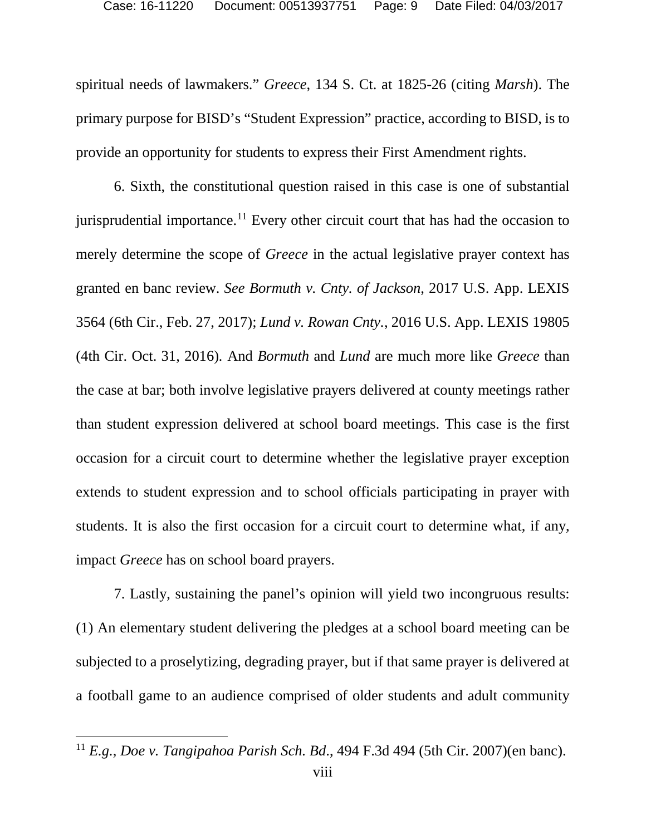spiritual needs of lawmakers." *Greece*, 134 S. Ct. at 1825-26 (citing *Marsh*). The primary purpose for BISD's "Student Expression" practice, according to BISD, is to provide an opportunity for students to express their First Amendment rights.

6. Sixth, the constitutional question raised in this case is one of substantial jurisprudential importance.<sup>[11](#page-8-0)</sup> Every other circuit court that has had the occasion to merely determine the scope of *Greece* in the actual legislative prayer context has granted en banc review. *See Bormuth v. Cnty. of Jackson*, 2017 U.S. App. LEXIS 3564 (6th Cir., Feb. 27, 2017); *Lund v. Rowan Cnty.*, 2016 U.S. App. LEXIS 19805 (4th Cir. Oct. 31, 2016)*.* And *Bormuth* and *Lund* are much more like *Greece* than the case at bar; both involve legislative prayers delivered at county meetings rather than student expression delivered at school board meetings. This case is the first occasion for a circuit court to determine whether the legislative prayer exception extends to student expression and to school officials participating in prayer with students. It is also the first occasion for a circuit court to determine what, if any, impact *Greece* has on school board prayers.

7. Lastly, sustaining the panel's opinion will yield two incongruous results: (1) An elementary student delivering the pledges at a school board meeting can be subjected to a proselytizing, degrading prayer, but if that same prayer is delivered at a football game to an audience comprised of older students and adult community

<span id="page-8-0"></span> <sup>11</sup> *E.g.*, *Doe v. Tangipahoa Parish Sch. Bd*., 494 F.3d 494 (5th Cir. 2007)(en banc).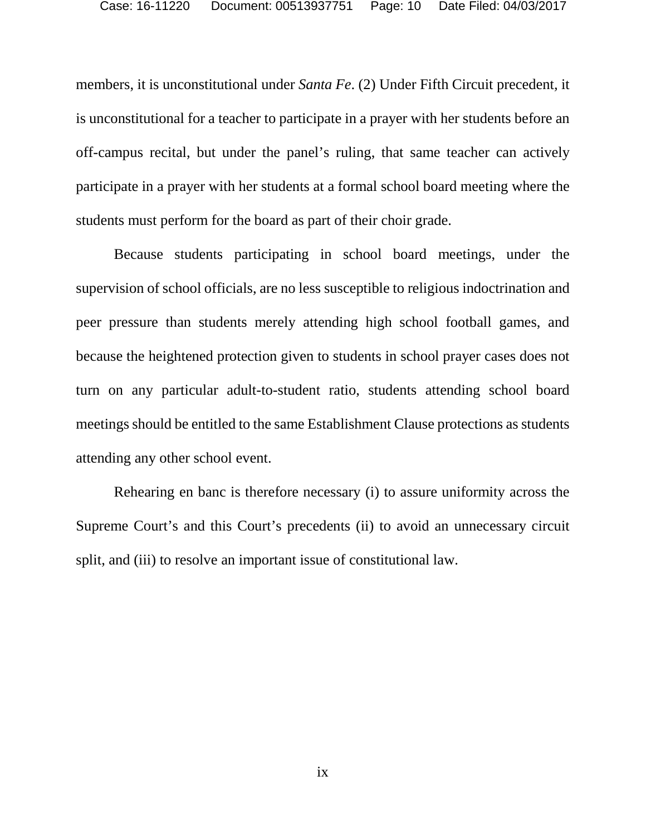members, it is unconstitutional under *Santa Fe*. (2) Under Fifth Circuit precedent*,* it is unconstitutional for a teacher to participate in a prayer with her students before an off-campus recital, but under the panel's ruling, that same teacher can actively participate in a prayer with her students at a formal school board meeting where the students must perform for the board as part of their choir grade.

Because students participating in school board meetings, under the supervision of school officials, are no less susceptible to religious indoctrination and peer pressure than students merely attending high school football games, and because the heightened protection given to students in school prayer cases does not turn on any particular adult-to-student ratio, students attending school board meetings should be entitled to the same Establishment Clause protections as students attending any other school event.

Rehearing en banc is therefore necessary (i) to assure uniformity across the Supreme Court's and this Court's precedents (ii) to avoid an unnecessary circuit split, and (iii) to resolve an important issue of constitutional law.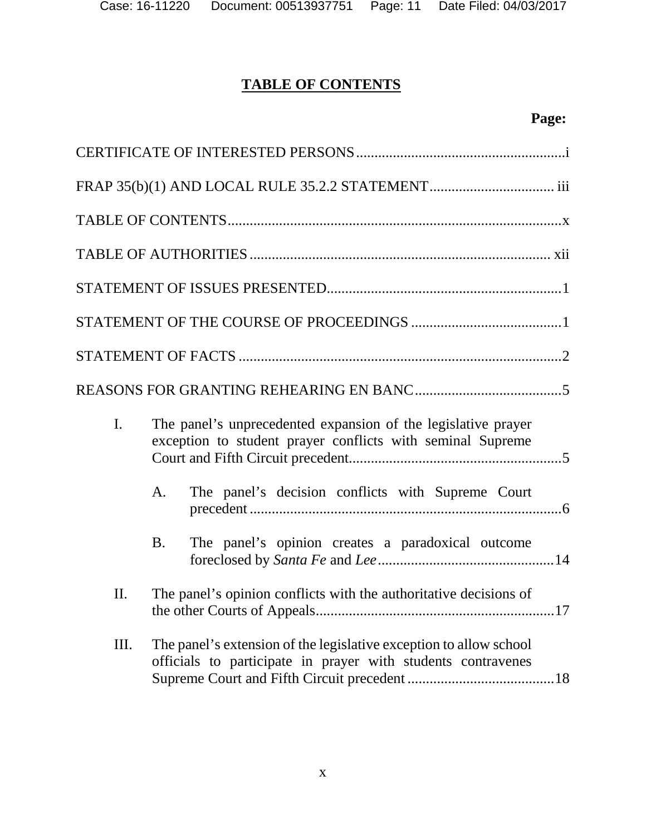# **TABLE OF CONTENTS**

# **Page:**

| $\mathbf{I}$ . | The panel's unprecedented expansion of the legislative prayer<br>exception to student prayer conflicts with seminal Supreme        |
|----------------|------------------------------------------------------------------------------------------------------------------------------------|
|                | The panel's decision conflicts with Supreme Court<br>A.                                                                            |
|                | The panel's opinion creates a paradoxical outcome<br><b>B.</b>                                                                     |
| II.            | The panel's opinion conflicts with the authoritative decisions of                                                                  |
| Ш.             | The panel's extension of the legislative exception to allow school<br>officials to participate in prayer with students contravenes |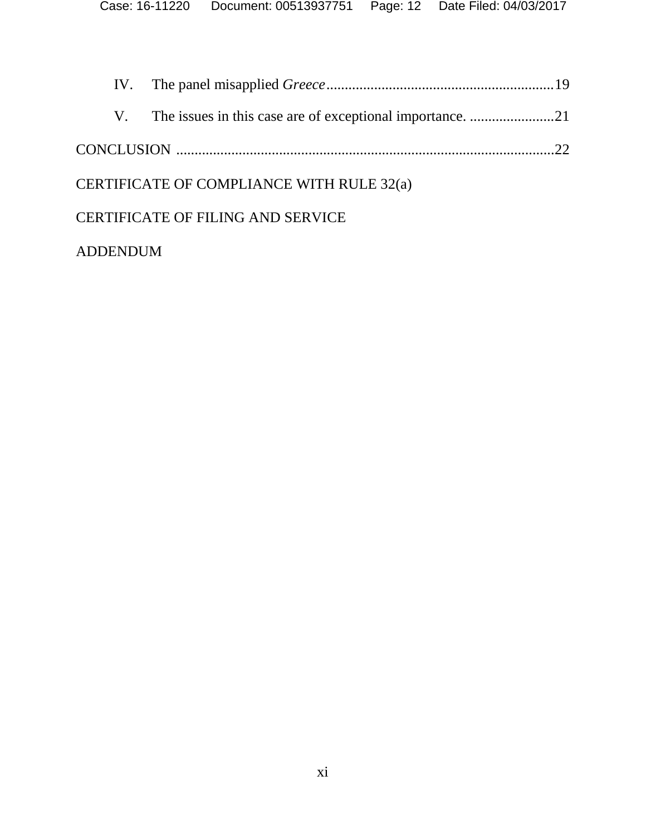| CERTIFICATE OF COMPLIANCE WITH RULE 32(a) |  |                                          |  |
|-------------------------------------------|--|------------------------------------------|--|
|                                           |  | <b>CERTIFICATE OF FILING AND SERVICE</b> |  |
|                                           |  |                                          |  |

# ADDENDUM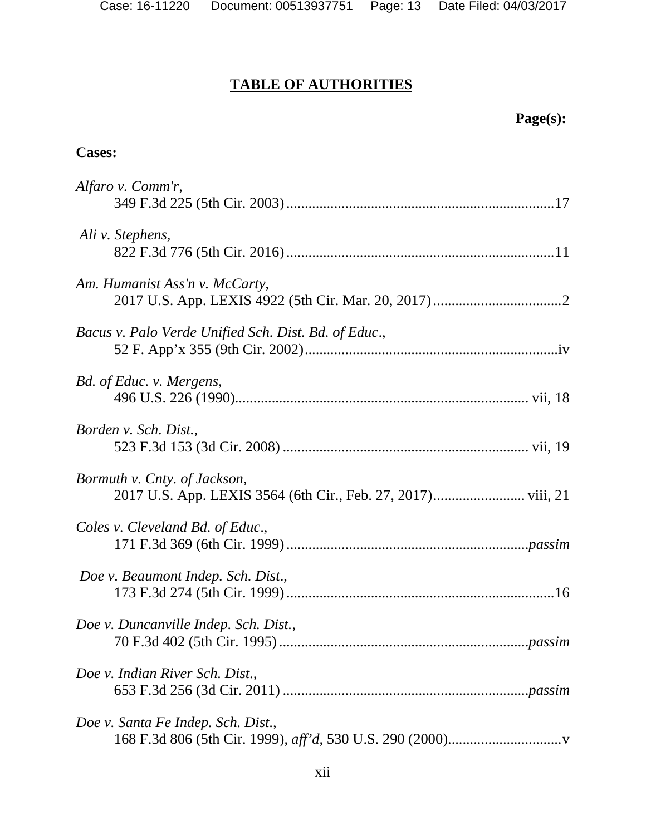# **TABLE OF AUTHORITIES**

# **Cases:**

| Alfaro v. Comm'r,                                    |
|------------------------------------------------------|
| Ali v. Stephens,                                     |
| Am. Humanist Ass'n v. McCarty,                       |
| Bacus v. Palo Verde Unified Sch. Dist. Bd. of Educ., |
| Bd. of Educ. v. Mergens,                             |
| Borden v. Sch. Dist.,                                |
| Bormuth v. Cnty. of Jackson,                         |
| Coles v. Cleveland Bd. of Educ.,                     |
| Doe v. Beaumont Indep. Sch. Dist.,                   |
| Doe v. Duncanville Indep. Sch. Dist.,                |
| Doe v. Indian River Sch. Dist.,                      |
| Doe v. Santa Fe Indep. Sch. Dist.,                   |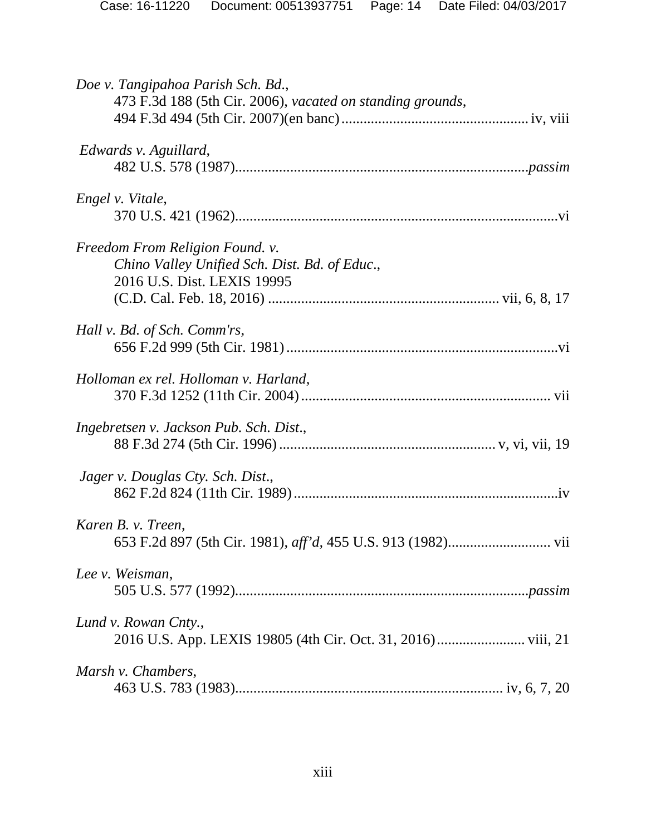| Doe v. Tangipahoa Parish Sch. Bd.,<br>473 F.3d 188 (5th Cir. 2006), vacated on standing grounds,                |
|-----------------------------------------------------------------------------------------------------------------|
| Edwards v. Aguillard,                                                                                           |
| Engel v. Vitale,                                                                                                |
| Freedom From Religion Found. v.<br>Chino Valley Unified Sch. Dist. Bd. of Educ.,<br>2016 U.S. Dist. LEXIS 19995 |
| Hall v. Bd. of Sch. Comm'rs,                                                                                    |
| Holloman ex rel. Holloman v. Harland,                                                                           |
| Ingebretsen v. Jackson Pub. Sch. Dist.,                                                                         |
| Jager v. Douglas Cty. Sch. Dist.,                                                                               |
| Karen B. v. Treen,                                                                                              |
| Lee v. Weisman,                                                                                                 |
| Lund v. Rowan Cnty.,                                                                                            |
| Marsh v. Chambers,                                                                                              |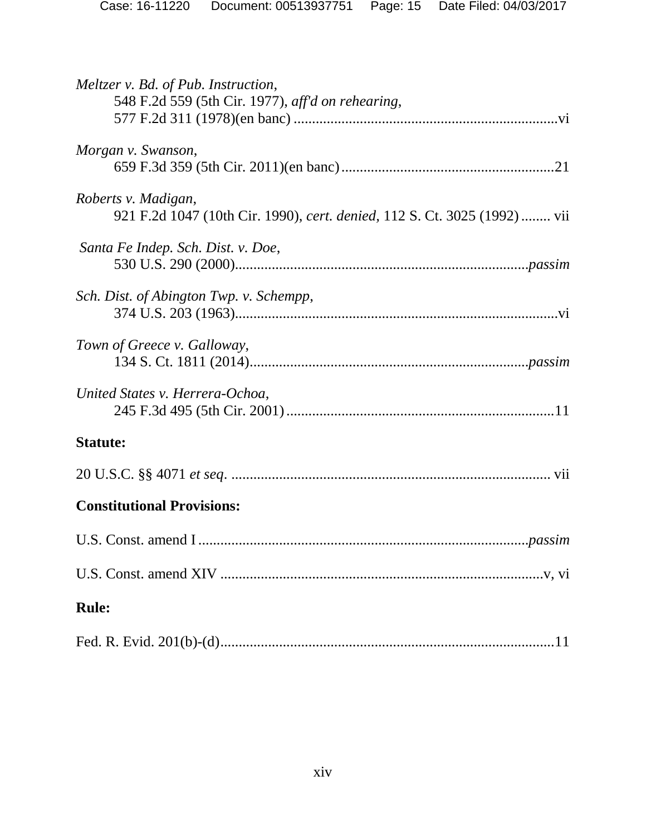| Case: 16-11220 | Document: 00513937751    Page: 15    Date Filed: 04/03/2017 |  |
|----------------|-------------------------------------------------------------|--|
|                |                                                             |  |

| Meltzer v. Bd. of Pub. Instruction,<br>548 F.2d 559 (5th Cir. 1977), aff'd on rehearing,         |
|--------------------------------------------------------------------------------------------------|
| Morgan v. Swanson,                                                                               |
| Roberts v. Madigan,<br>921 F.2d 1047 (10th Cir. 1990), cert. denied, 112 S. Ct. 3025 (1992)  vii |
| Santa Fe Indep. Sch. Dist. v. Doe,                                                               |
| Sch. Dist. of Abington Twp. v. Schempp,                                                          |
| Town of Greece v. Galloway,                                                                      |
| United States v. Herrera-Ochoa,                                                                  |
| <b>Statute:</b>                                                                                  |
|                                                                                                  |
| <b>Constitutional Provisions:</b>                                                                |
| <i>passim</i>                                                                                    |
|                                                                                                  |
| <b>Rule:</b>                                                                                     |
|                                                                                                  |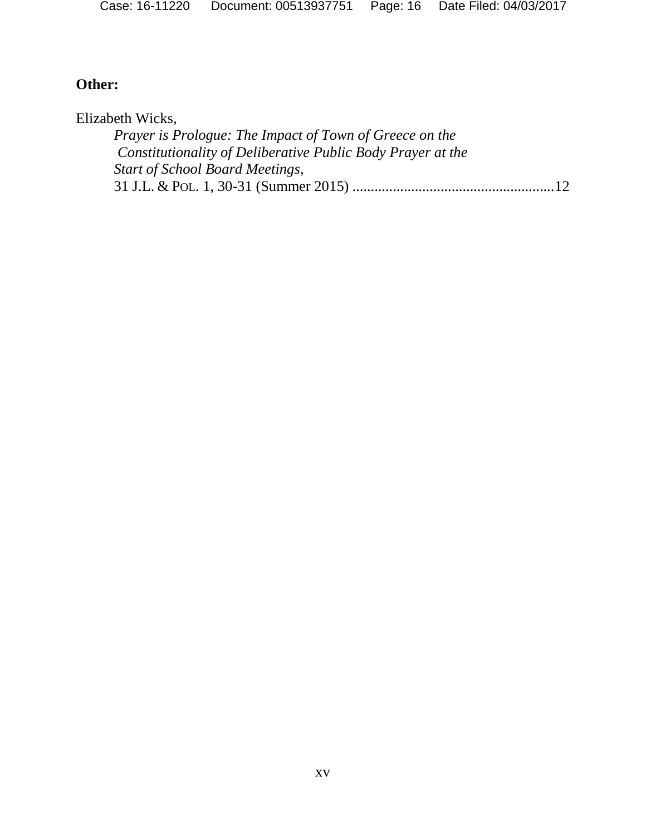| Case: 16-11220 |  | Document: 00513937751    Page: 16    Date Filed: 04/03/2017 |
|----------------|--|-------------------------------------------------------------|
|                |  |                                                             |

# **Other:**

Elizabeth Wicks,

| <i>Prayer is Prologue: The Impact of Town of Greece on the</i> |  |
|----------------------------------------------------------------|--|
| Constitutionality of Deliberative Public Body Prayer at the    |  |
| <b>Start of School Board Meetings,</b>                         |  |
|                                                                |  |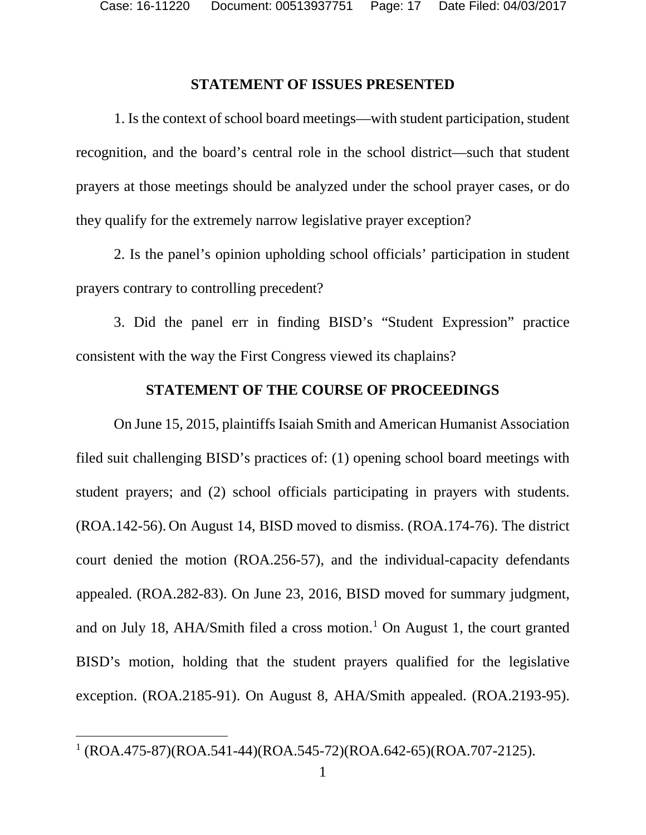#### **STATEMENT OF ISSUES PRESENTED**

1. Is the context of school board meetings—with student participation, student recognition, and the board's central role in the school district—such that student prayers at those meetings should be analyzed under the school prayer cases, or do they qualify for the extremely narrow legislative prayer exception?

2. Is the panel's opinion upholding school officials' participation in student prayers contrary to controlling precedent?

3. Did the panel err in finding BISD's "Student Expression" practice consistent with the way the First Congress viewed its chaplains?

# **STATEMENT OF THE COURSE OF PROCEEDINGS**

On June 15, 2015, plaintiffs Isaiah Smith and American Humanist Association filed suit challenging BISD's practices of: (1) opening school board meetings with student prayers; and (2) school officials participating in prayers with students. (ROA.142-56). On August 14, BISD moved to dismiss. (ROA.174-76). The district court denied the motion (ROA.256-57), and the individual-capacity defendants appealed. (ROA.282-83). On June 23, 2016, BISD moved for summary judgment, and on July 18, AHA/Smith filed a cross motion. [1](#page-16-0) On August 1, the court granted BISD's motion, holding that the student prayers qualified for the legislative exception. (ROA.2185-91). On August 8, AHA/Smith appealed. (ROA.2193-95).

<span id="page-16-0"></span> $1 (ROA.475-87)(ROA.541-44)(ROA.545-72)(ROA.642-65)(ROA.707-2125).$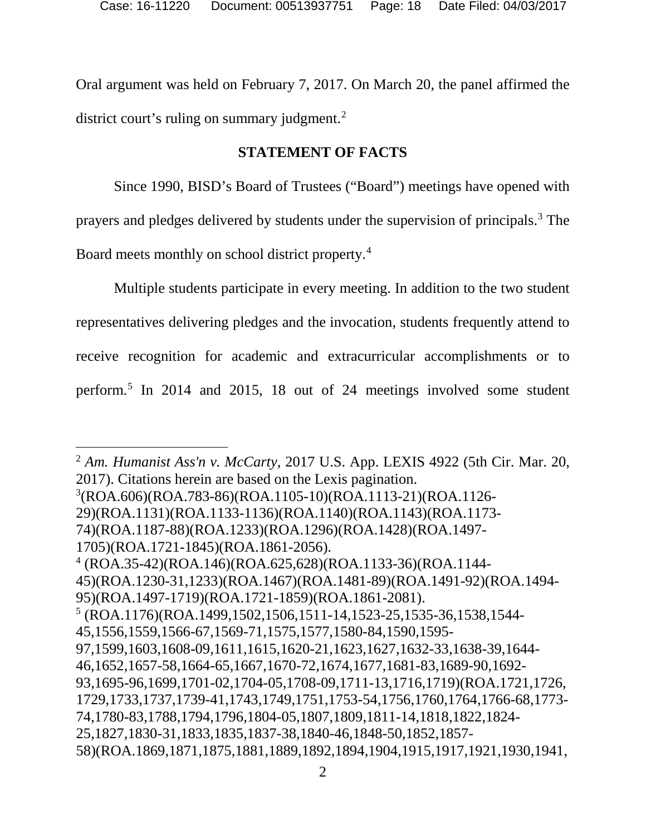Oral argument was held on February 7, 2017. On March 20, the panel affirmed the district court's ruling on summary judgment.<sup>[2](#page-17-0)</sup>

# **STATEMENT OF FACTS**

Since 1990, BISD's Board of Trustees ("Board") meetings have opened with prayers and pledges delivered by students under the supervision of principals.[3](#page-17-1) The Board meets monthly on school district property.[4](#page-17-2)

Multiple students participate in every meeting. In addition to the two student representatives delivering pledges and the invocation, students frequently attend to receive recognition for academic and extracurricular accomplishments or to perform. [5](#page-17-3) In 2014 and 2015, 18 out of 24 meetings involved some student

<span id="page-17-3"></span><span id="page-17-2"></span><span id="page-17-1"></span><span id="page-17-0"></span>2 2 *Am. Humanist Ass'n v. McCarty*, 2017 U.S. App. LEXIS 4922 (5th Cir. Mar. 20, 2017). Citations herein are based on the Lexis pagination. 3 (ROA.606)(ROA.783-86)(ROA.1105-10)(ROA.1113-21)(ROA.1126- 29)(ROA.1131)(ROA.1133-1136)(ROA.1140)(ROA.1143)(ROA.1173- 74)(ROA.1187-88)(ROA.1233)(ROA.1296)(ROA.1428)(ROA.1497- 1705)(ROA.1721-1845)(ROA.1861-2056).  $4 (ROA.35-42)(ROA.146)(ROA.625.628)(ROA.1133-36)(ROA.1144-$ 45)(ROA.1230-31,1233)(ROA.1467)(ROA.1481-89)(ROA.1491-92)(ROA.1494- 95)(ROA.1497-1719)(ROA.1721-1859)(ROA.1861-2081).  $5 (ROA.1176)(ROA.1499,1502,1506,1511-14,1523-25,1535-36,1538,1544-$ 45,1556,1559,1566-67,1569-71,1575,1577,1580-84,1590,1595- 97,1599,1603,1608-09,1611,1615,1620-21,1623,1627,1632-33,1638-39,1644- 46,1652,1657-58,1664-65,1667,1670-72,1674,1677,1681-83,1689-90,1692- 93,1695-96,1699,1701-02,1704-05,1708-09,1711-13,1716,1719)(ROA.1721,1726, 1729,1733,1737,1739-41,1743,1749,1751,1753-54,1756,1760,1764,1766-68,1773- 74,1780-83,1788,1794,1796,1804-05,1807,1809,1811-14,1818,1822,1824- 25,1827,1830-31,1833,1835,1837-38,1840-46,1848-50,1852,1857- 58)(ROA.1869,1871,1875,1881,1889,1892,1894,1904,1915,1917,1921,1930,1941,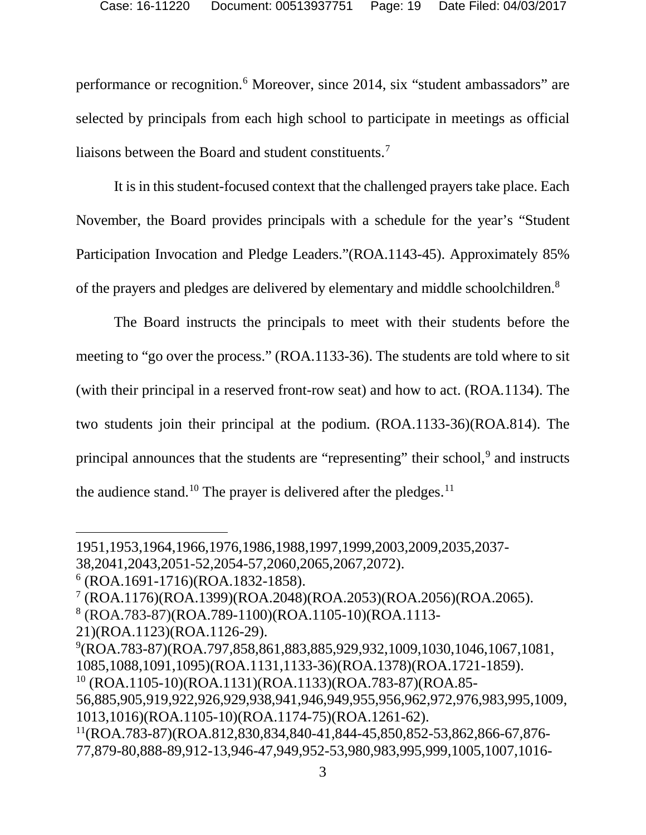performance or recognition.[6](#page-18-0) Moreover, since 2014, six "student ambassadors" are selected by principals from each high school to participate in meetings as official liaisons between the Board and student constituents.<sup>[7](#page-18-1)</sup>

It is in this student-focused context that the challenged prayers take place. Each November, the Board provides principals with a schedule for the year's "Student Participation Invocation and Pledge Leaders."(ROA.1143-45). Approximately 85% of the prayers and pledges are delivered by elementary and middle schoolchildren[.8](#page-18-2)

The Board instructs the principals to meet with their students before the meeting to "go over the process." (ROA.1133-36). The students are told where to sit (with their principal in a reserved front-row seat) and how to act. (ROA*.*1134). The two students join their principal at the podium. (ROA.1133-36)(ROA.814). The principal announces that the students are "representing" their school,<sup>[9](#page-18-3)</sup> and instructs the audience stand.<sup>[10](#page-18-4)</sup> The prayer is delivered after the pledges.<sup>[11](#page-18-5)</sup>

 $\overline{a}$ 

<sup>1951,1953,1964,1966,1976,1986,1988,1997,1999,2003,2009,2035,2037-</sup>

<sup>38,2041,2043,2051-52,2054-57,2060,2065,2067,2072).</sup>

<span id="page-18-0"></span> $6$  (ROA.1691-1716)(ROA.1832-1858).

<span id="page-18-1"></span><sup>7</sup> (ROA.1176)(ROA.1399)(ROA.2048)(ROA.2053)(ROA.2056)(ROA.2065).

<span id="page-18-2"></span><sup>8</sup> (ROA.783-87)(ROA.789-1100)(ROA.1105-10)(ROA.1113-

<sup>21)(</sup>ROA.1123)(ROA.1126-29).

<span id="page-18-3"></span><sup>9</sup> (ROA.783-87)(ROA.797,858,861,883,885,929,932,1009,1030,1046,1067,1081, 1085,1088,1091,1095)(ROA.1131,1133-36)(ROA.1378)(ROA.1721-1859).

<span id="page-18-4"></span><sup>10</sup> (ROA.1105-10)(ROA.1131)(ROA.1133)(ROA.783-87)(ROA.85-

<sup>56,885,905,919,922,926,929,938,941,946,949,955,956,962,972,976,983,995,1009,</sup> 1013,1016)(ROA.1105-10)(ROA.1174-75)(ROA.1261-62).

<span id="page-18-5"></span><sup>11(</sup>ROA.783-87)(ROA.812,830,834,840-41,844-45,850,852-53,862,866-67,876- 77,879-80,888-89,912-13,946-47,949,952-53,980,983,995,999,1005,1007,1016-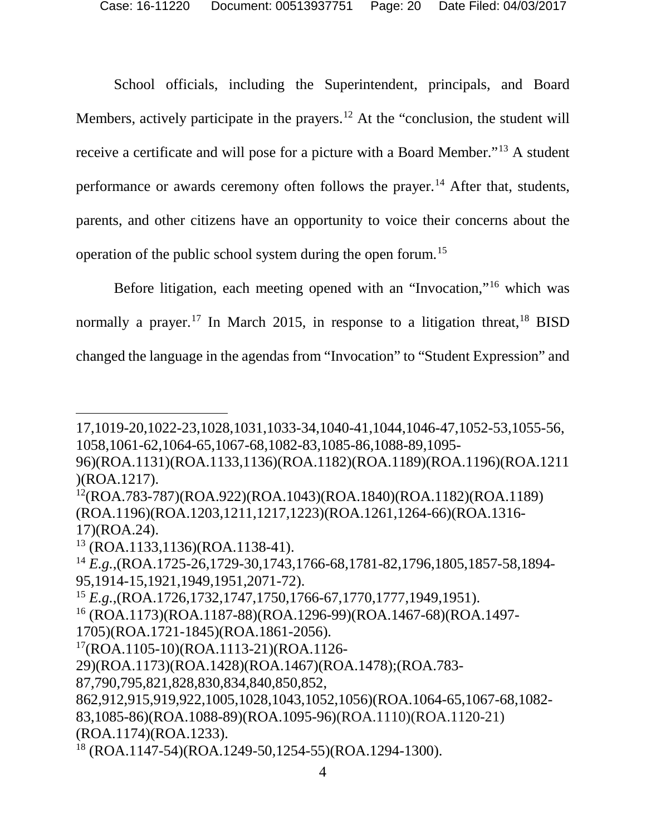School officials, including the Superintendent, principals, and Board Members, actively participate in the prayers.<sup>[12](#page-19-0)</sup> At the "conclusion, the student will receive a certificate and will pose for a picture with a Board Member."[13](#page-19-1) A student performance or awards ceremony often follows the prayer.<sup>[14](#page-19-2)</sup> After that, students, parents, and other citizens have an opportunity to voice their concerns about the operation of the public school system during the open forum. [15](#page-19-3)

Before litigation, each meeting opened with an "Invocation,"[16](#page-19-4) which was normally a prayer.<sup>[17](#page-19-5)</sup> In March 2015, in response to a litigation threat,  $18$  BISD changed the language in the agendas from "Invocation" to "Student Expression" and

 $\overline{a}$ 

<span id="page-19-5"></span>17(ROA.1105-10)(ROA.1113-21)(ROA.1126-

<sup>17,1019-20,1022-23,1028,1031,1033-34,1040-41,1044,1046-47,1052-53,1055-56,</sup>  1058,1061-62,1064-65,1067-68,1082-83,1085-86,1088-89,1095-

<sup>96)(</sup>ROA.1131)(ROA.1133,1136)(ROA.1182)(ROA.1189)(ROA.1196)(ROA.1211 )(ROA.1217).

<span id="page-19-0"></span><sup>12(</sup>ROA.783-787)(ROA.922)(ROA.1043)(ROA.1840)(ROA.1182)(ROA.1189) (ROA.1196)(ROA.1203,1211,1217,1223)(ROA.1261,1264-66)(ROA.1316- 17)(ROA.24).

<span id="page-19-1"></span><sup>13</sup> (ROA.1133,1136)(ROA.1138-41).

<span id="page-19-2"></span><sup>14</sup> *E.g.*,(ROA.1725-26,1729-30,1743,1766-68,1781-82,1796,1805,1857-58,1894- 95,1914-15,1921,1949,1951,2071-72).

<span id="page-19-3"></span><sup>15</sup> *E.g.*,(ROA.1726,1732,1747,1750,1766-67,1770,1777,1949,1951).

<span id="page-19-4"></span><sup>16</sup> (ROA.1173)(ROA.1187-88)(ROA.1296-99)(ROA.1467-68)(ROA.1497-

<sup>1705)(</sup>ROA.1721-1845)(ROA.1861-2056).

<sup>29)(</sup>ROA.1173)(ROA.1428)(ROA.1467)(ROA.1478);(ROA.783-

<sup>87,790,795,821,828,830,834,840,850,852,</sup> 

<sup>862,912,915,919,922,1005,1028,1043,1052,1056)(</sup>ROA.1064-65,1067-68,1082- 83,1085-86)(ROA.1088-89)(ROA.1095-96)(ROA.1110)(ROA.1120-21) (ROA.1174)(ROA.1233).

<span id="page-19-6"></span><sup>18</sup> (ROA.1147-54)(ROA.1249-50,1254-55)(ROA.1294-1300).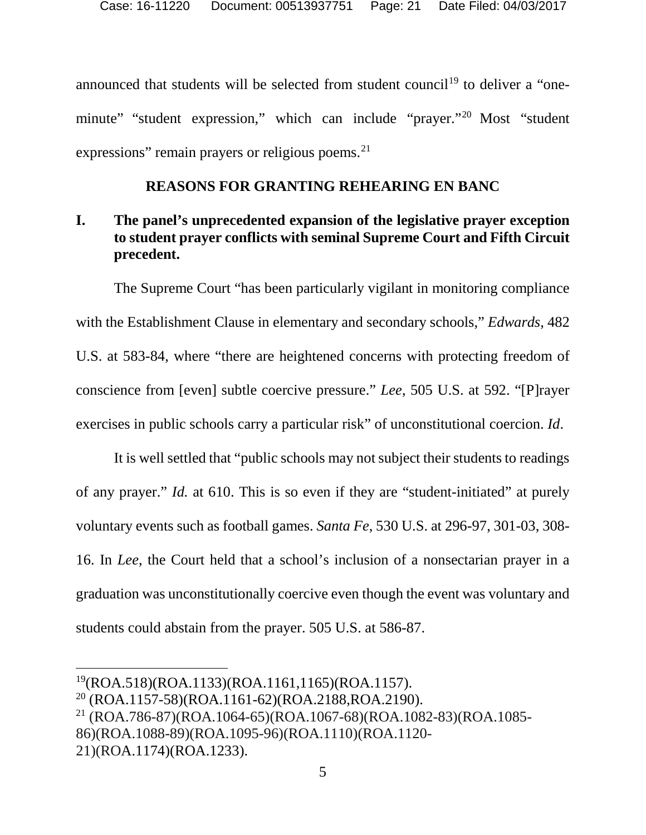announced that students will be selected from student council<sup>[19](#page-20-0)</sup> to deliver a "oneminute" "student expression," which can include "prayer."[20](#page-20-1) Most "student expressions" remain prayers or religious poems. $21$ 

#### **REASONS FOR GRANTING REHEARING EN BANC**

# **I. The panel's unprecedented expansion of the legislative prayer exception to student prayer conflicts with seminal Supreme Court and Fifth Circuit precedent.**

The Supreme Court "has been particularly vigilant in monitoring compliance with the Establishment Clause in elementary and secondary schools," *Edwards*, 482 U.S. at 583-84, where "there are heightened concerns with protecting freedom of conscience from [even] subtle coercive pressure." *Lee*, 505 U.S. at 592. "[P]rayer exercises in public schools carry a particular risk" of unconstitutional coercion. *Id*.

It is well settled that "public schools may not subject their students to readings of any prayer." *Id.* at 610. This is so even if they are "student-initiated" at purely voluntary events such as football games. *Santa Fe*, 530 U.S. at 296-97, 301-03, 308- 16. In *Lee*, the Court held that a school's inclusion of a nonsectarian prayer in a graduation was unconstitutionally coercive even though the event was voluntary and students could abstain from the prayer. 505 U.S. at 586-87.

<span id="page-20-0"></span> <sup>19(</sup>ROA.518)(ROA.1133)(ROA.1161,1165)(ROA.1157).

<span id="page-20-1"></span> $20$  (ROA.1157-58)(ROA.1161-62)(ROA.2188,ROA.2190).

<span id="page-20-2"></span><sup>21</sup> (ROA.786-87)(ROA.1064-65)(ROA.1067-68)(ROA.1082-83)(ROA.1085- 86)(ROA.1088-89)(ROA.1095-96)(ROA.1110)(ROA.1120- 21)(ROA.1174)(ROA.1233).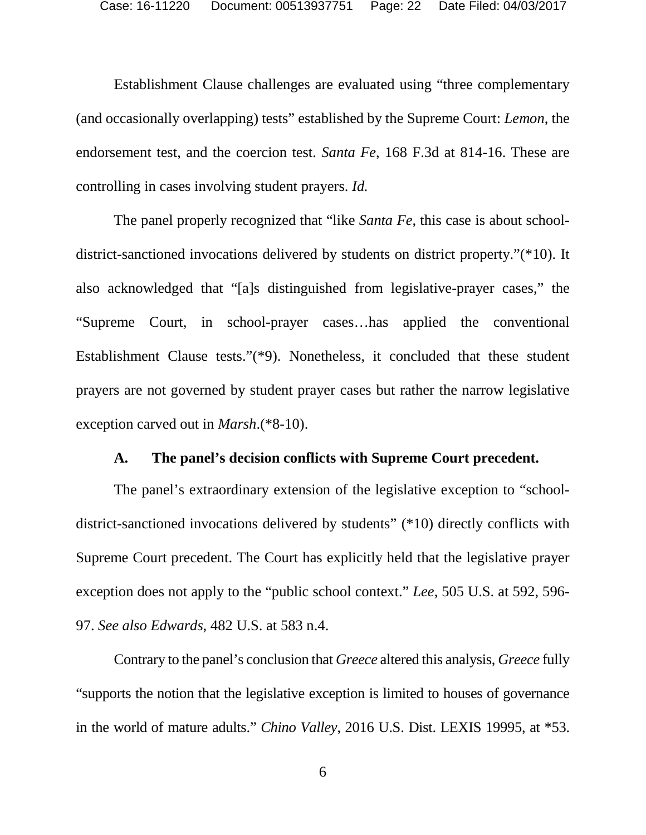Establishment Clause challenges are evaluated using "three complementary (and occasionally overlapping) tests" established by the Supreme Court: *Lemon*, the endorsement test, and the coercion test. *Santa Fe*, 168 F.3d at 814-16. These are controlling in cases involving student prayers. *Id.*

The panel properly recognized that "like *Santa Fe*, this case is about schooldistrict-sanctioned invocations delivered by students on district property."(\*10). It also acknowledged that "[a]s distinguished from legislative-prayer cases," the "Supreme Court, in school-prayer cases…has applied the conventional Establishment Clause tests."(\*9). Nonetheless, it concluded that these student prayers are not governed by student prayer cases but rather the narrow legislative exception carved out in *Marsh*.(\*8-10).

#### **A. The panel's decision conflicts with Supreme Court precedent.**

The panel's extraordinary extension of the legislative exception to "schooldistrict-sanctioned invocations delivered by students" (\*10) directly conflicts with Supreme Court precedent. The Court has explicitly held that the legislative prayer exception does not apply to the "public school context." *Lee*, 505 U.S. at 592, 596- 97. *See also Edwards*, 482 U.S. at 583 n.4.

Contrary to the panel's conclusion that *Greece* altered this analysis, *Greece* fully "supports the notion that the legislative exception is limited to houses of governance in the world of mature adults." *Chino Valley*, 2016 U.S. Dist. LEXIS 19995, at \*53.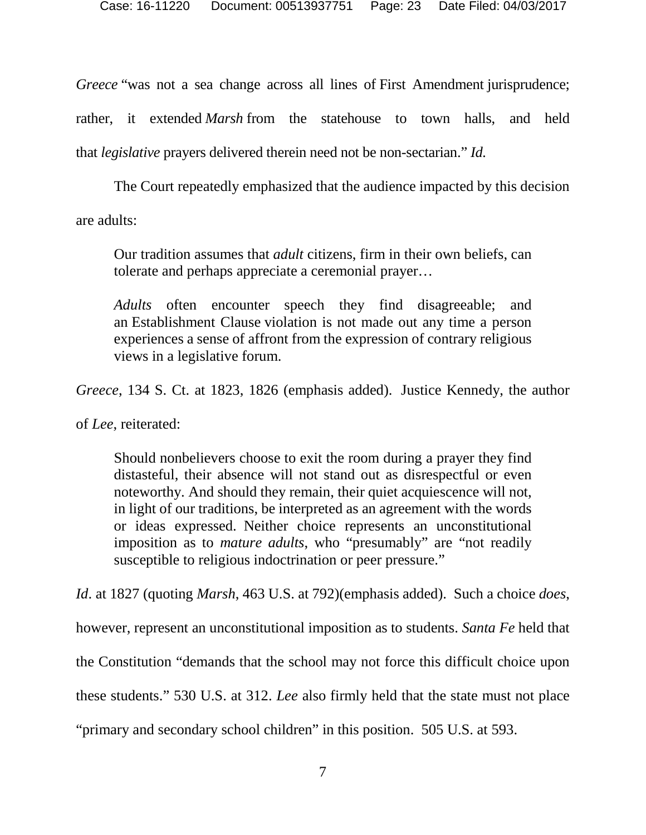*Greece* "was not a sea change across all lines of First Amendment jurisprudence; rather, it extended *Marsh* from the statehouse to town halls, and held that *legislative* prayers delivered therein need not be non-sectarian." *Id.*

The Court repeatedly emphasized that the audience impacted by this decision are adults:

Our tradition assumes that *adult* citizens, firm in their own beliefs, can tolerate and perhaps appreciate a ceremonial prayer…

*Adults* often encounter speech they find disagreeable; and an Establishment Clause violation is not made out any time a person experiences a sense of affront from the expression of contrary religious views in a legislative forum.

*Greece*, 134 S. Ct. at 1823, 1826 (emphasis added). Justice Kennedy, the author

of *Lee*, reiterated:

Should nonbelievers choose to exit the room during a prayer they find distasteful, their absence will not stand out as disrespectful or even noteworthy. And should they remain, their quiet acquiescence will not, in light of our traditions, be interpreted as an agreement with the words or ideas expressed. Neither choice represents an unconstitutional imposition as to *mature adults*, who "presumably" are "not readily susceptible to religious indoctrination or peer pressure."

*Id*. at 1827 (quoting *Marsh*, 463 U.S. at 792)(emphasis added). Such a choice *does*,

however, represent an unconstitutional imposition as to students. *Santa Fe* held that

the Constitution "demands that the school may not force this difficult choice upon

these students." 530 U.S. at 312. *Lee* also firmly held that the state must not place

"primary and secondary school children" in this position. 505 U.S. at 593.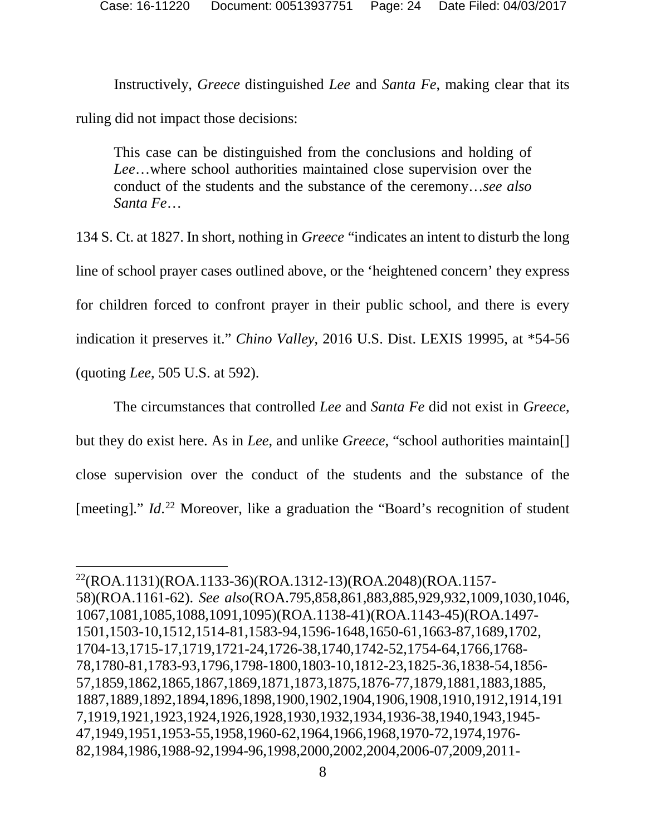Instructively, *Greece* distinguished *Lee* and *Santa Fe*, making clear that its ruling did not impact those decisions:

This case can be distinguished from the conclusions and holding of *Lee*…where school authorities maintained close supervision over the conduct of the students and the substance of the ceremony…*see also Santa Fe*…

134 S. Ct. at 1827. In short, nothing in *Greece* "indicates an intent to disturb the long line of school prayer cases outlined above, or the 'heightened concern' they express for children forced to confront prayer in their public school, and there is every indication it preserves it." *Chino Valley*, 2016 U.S. Dist. LEXIS 19995, at \*54-56 (quoting *Lee*, 505 U.S. at 592).

The circumstances that controlled *Lee* and *Santa Fe* did not exist in *Greece*, but they do exist here. As in *Lee*, and unlike *Greece*, "school authorities maintain[] close supervision over the conduct of the students and the substance of the [meeting]." *Id.*<sup>[22](#page-24-0)</sup> Moreover, like a graduation the "Board's recognition of student

 <sup>22(</sup>ROA.1131)(ROA.1133-36)(ROA.1312-13)(ROA.2048)(ROA.1157- 58)(ROA.1161-62). *See also*(ROA.795,858,861,883,885,929,932,1009,1030,1046, 1067,1081,1085,1088,1091,1095)(ROA.1138-41)(ROA.1143-45)(ROA.1497- 1501,1503-10,1512,1514-81,1583-94,1596-1648,1650-61,1663-87,1689,1702, 1704-13,1715-17,1719,1721-24,1726-38,1740,1742-52,1754-64,1766,1768- 78,1780-81,1783-93,1796,1798-1800,1803-10,1812-23,1825-36,1838-54,1856- 57,1859,1862,1865,1867,1869,1871,1873,1875,1876-77,1879,1881,1883,1885, 1887,1889,1892,1894,1896,1898,1900,1902,1904,1906,1908,1910,1912,1914,191 7,1919,1921,1923,1924,1926,1928,1930,1932,1934,1936-38,1940,1943,1945- 47,1949,1951,1953-55,1958,1960-62,1964,1966,1968,1970-72,1974,1976- 82,1984,1986,1988-92,1994-96,1998,2000,2002,2004,2006-07,2009,2011-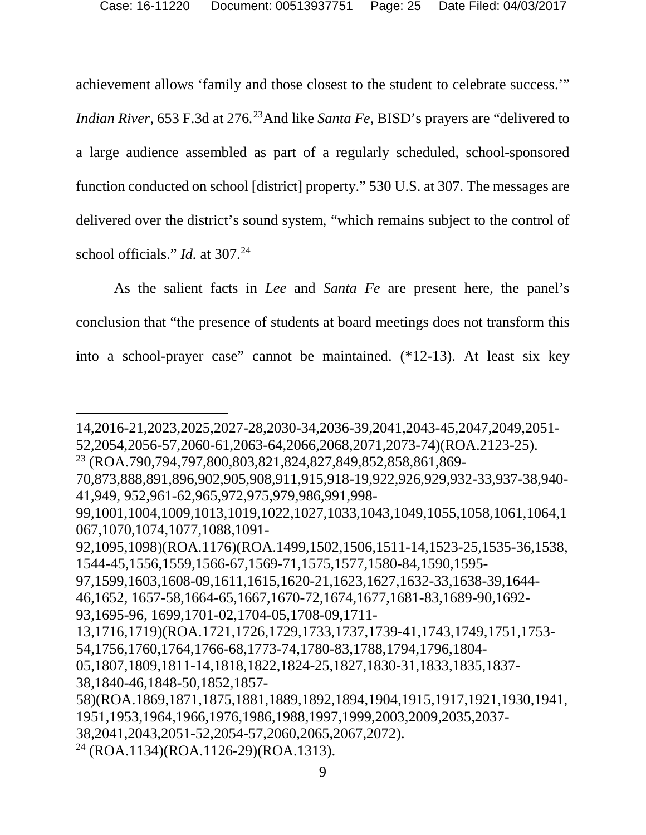achievement allows 'family and those closest to the student to celebrate success.'"

*Indian River*, 653 F.3d at 276.<sup>[23](#page-24-1)</sup>And like *Santa Fe*, BISD's prayers are "delivered to a large audience assembled as part of a regularly scheduled, school-sponsored function conducted on school [district] property." 530 U.S. at 307. The messages are delivered over the district's sound system, "which remains subject to the control of school officials." *Id.* at 307.<sup>24</sup>

<span id="page-24-0"></span>As the salient facts in *Lee* and *Santa Fe* are present here, the panel's conclusion that "the presence of students at board meetings does not transform this into a school-prayer case" cannot be maintained. (\*12-13). At least six key

 $\overline{a}$ 

<sup>14,2016-21,2023,2025,2027-28,2030-34,2036-39,2041,2043-45,2047,2049,2051-</sup>

<sup>52,2054,2056-57,2060-61,2063-64,2066,2068,2071,2073-74)(</sup>ROA.2123-25).

<sup>23</sup> (ROA.790,794,797,800,803,821,824,827,849,852,858,861,869-

<span id="page-24-1"></span><sup>70,873,888,891,896,902,905,908,911,915,918-19,922,926,929,932-33,937-38,940-</sup> 41,949, 952,961-62,965,972,975,979,986,991,998-

<sup>99,1001,1004,1009,1013,1019,1022,1027,1033,1043,1049,1055,1058,1061,1064,1</sup> 067,1070,1074,1077,1088,1091-

<sup>92,1095,1098)(</sup>ROA.1176)(ROA.1499,1502,1506,1511-14,1523-25,1535-36,1538, 1544-45,1556,1559,1566-67,1569-71,1575,1577,1580-84,1590,1595-

<sup>97,1599,1603,1608-09,1611,1615,1620-21,1623,1627,1632-33,1638-39,1644-</sup>

<sup>46,1652, 1657-58,1664-65,1667,1670-72,1674,1677,1681-83,1689-90,1692-</sup>

<sup>93,1695-96, 1699,1701-02,1704-05,1708-09,1711-</sup>

<sup>13,1716,1719)(</sup>ROA.1721,1726,1729,1733,1737,1739-41,1743,1749,1751,1753- 54,1756,1760,1764,1766-68,1773-74,1780-83,1788,1794,1796,1804-

<sup>05,1807,1809,1811-14,1818,1822,1824-25,1827,1830-31,1833,1835,1837-</sup> 38,1840-46,1848-50,1852,1857-

<sup>58)(</sup>ROA.1869,1871,1875,1881,1889,1892,1894,1904,1915,1917,1921,1930,1941, 1951,1953,1964,1966,1976,1986,1988,1997,1999,2003,2009,2035,2037-

<sup>38,2041,2043,2051-52,2054-57,2060,2065,2067,2072).</sup>

<sup>24</sup> (ROA.1134)(ROA.1126-29)(ROA.1313).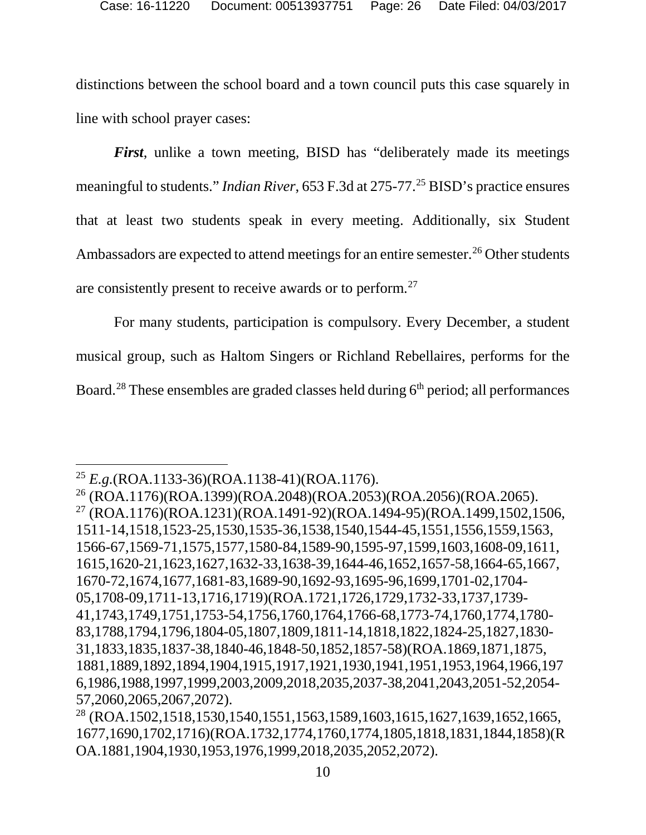distinctions between the school board and a town council puts this case squarely in line with school prayer cases:

*First*, unlike a town meeting, BISD has "deliberately made its meetings meaningful to students." *Indian River*, 653 F.3d at 275-77.<sup>[25](#page-25-1)</sup> BISD's practice ensures that at least two students speak in every meeting. Additionally, six Student Ambassadors are expected to attend meetings for an entire semester.<sup>[26](#page-25-2)</sup> Other students are consistently present to receive awards or to perform.[27](#page-25-3)

For many students, participation is compulsory. Every December, a student musical group, such as Haltom Singers or Richland Rebellaires, performs for the Board.<sup>[28](#page-26-0)</sup> These ensembles are graded classes held during  $6<sup>th</sup>$  period; all performances

 <sup>25</sup> *E.g.*(ROA.1133-36)(ROA.1138-41)(ROA.1176).

<sup>26</sup> (ROA.1176)(ROA.1399)(ROA.2048)(ROA.2053)(ROA.2056)(ROA.2065). <sup>27</sup> (ROA.1176)(ROA.1231)(ROA.1491-92)(ROA.1494-95)(ROA.1499,1502,1506, 1511-14,1518,1523-25,1530,1535-36,1538,1540,1544-45,1551,1556,1559,1563, 1566-67,1569-71,1575,1577,1580-84,1589-90,1595-97,1599,1603,1608-09,1611, 1615,1620-21,1623,1627,1632-33,1638-39,1644-46,1652,1657-58,1664-65,1667, 1670-72,1674,1677,1681-83,1689-90,1692-93,1695-96,1699,1701-02,1704- 05,1708-09,1711-13,1716,1719)(ROA.1721,1726,1729,1732-33,1737,1739- 41,1743,1749,1751,1753-54,1756,1760,1764,1766-68,1773-74,1760,1774,1780- 83,1788,1794,1796,1804-05,1807,1809,1811-14,1818,1822,1824-25,1827,1830- 31,1833,1835,1837-38,1840-46,1848-50,1852,1857-58)(ROA.1869,1871,1875, 1881,1889,1892,1894,1904,1915,1917,1921,1930,1941,1951,1953,1964,1966,197 6,1986,1988,1997,1999,2003,2009,2018,2035,2037-38,2041,2043,2051-52,2054- 57,2060,2065,2067,2072).

<span id="page-25-3"></span><span id="page-25-2"></span><span id="page-25-1"></span><span id="page-25-0"></span><sup>28</sup> (ROA.1502,1518,1530,1540,1551,1563,1589,1603,1615,1627,1639,1652,1665, 1677,1690,1702,1716)(ROA.1732,1774,1760,1774,1805,1818,1831,1844,1858)(R OA.1881,1904,1930,1953,1976,1999,2018,2035,2052,2072).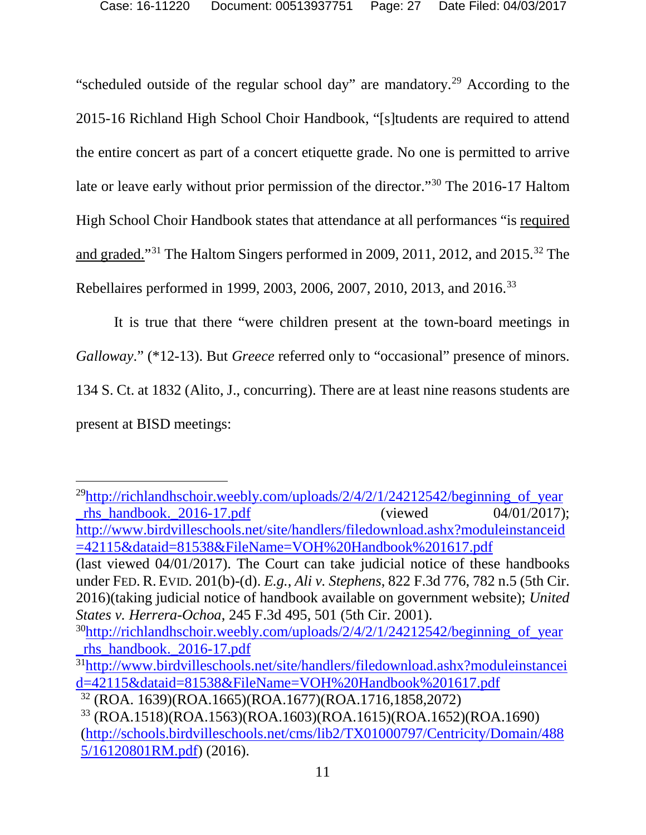"scheduled outside of the regular school day" are mandatory.<sup>[29](#page-26-1)</sup> According to the 2015-16 Richland High School Choir Handbook, "[s]tudents are required to attend the entire concert as part of a concert etiquette grade. No one is permitted to arrive late or leave early without prior permission of the director."[30](#page-26-2) The 2016-17 Haltom High School Choir Handbook states that attendance at all performances "is required and graded."[31](#page-27-0) The Haltom Singers performed in 2009, 2011, 2012, and 2015.[32](#page-27-1) The Rebellaires performed in 1999, 2003, 2006, 2007, 2010, 2013, and 2016[.33](#page-27-2)

It is true that there "were children present at the town-board meetings in *Galloway*." (\*12-13). But *Greece* referred only to "occasional" presence of minors. 134 S. Ct. at 1832 (Alito, J., concurring). There are at least nine reasons students are present at BISD meetings:

<span id="page-26-1"></span><span id="page-26-0"></span> $^{29}$ http://richlandhschoir.weebly.com/uploads/2/4/2/1/24212542/beginning of year rhs handbook.  $2016-17. \text{pdf}$  (viewed  $04/01/2017$ ); [http://www.birdvilleschools.net/site/handlers/filedownload.ashx?moduleinstanceid](http://www.birdvilleschools.net/site/handlers/filedownload.ashx?moduleinstanceid=42115&dataid=81538&FileName=VOH%20Handbook%201617.pdf) [=42115&dataid=81538&FileName=VOH%20Handbook%201617.pdf](http://www.birdvilleschools.net/site/handlers/filedownload.ashx?moduleinstanceid=42115&dataid=81538&FileName=VOH%20Handbook%201617.pdf) (last viewed 04/01/2017). The Court can take judicial notice of these handbooks under FED. R. EVID. 201(b)-(d). *E.g.*, *Ali v. Stephens*, 822 F.3d 776, 782 n.5 (5th Cir. 2016)(taking judicial notice of handbook available on government website); *United States v. Herrera-Ochoa*, 245 F.3d 495, 501 (5th Cir. 2001).  $30$ http://richlandhschoir.weebly.com/uploads/2/4/2/1/24212542/beginning of year [\\_rhs\\_handbook.\\_2016-17.pdf](http://richlandhschoir.weebly.com/uploads/2/4/2/1/24212542/beginning_of_year_rhs_handbook._2016-17.pdf) 3[1http://www.birdvilleschools.net/site/handlers/filedownload.ashx?moduleinstancei](http://www.birdvilleschools.net/site/handlers/filedownload.ashx?moduleinstanceid=42115&dataid=81538&FileName=VOH%20Handbook%201617.pdf) [d=42115&dataid=81538&FileName=VOH%20Handbook%201617.pdf](http://www.birdvilleschools.net/site/handlers/filedownload.ashx?moduleinstanceid=42115&dataid=81538&FileName=VOH%20Handbook%201617.pdf) <sup>32</sup> (ROA. 1639)(ROA.1665)(ROA.1677)(ROA.1716,1858,2072)

<span id="page-26-2"></span><sup>33</sup> (ROA.1518)(ROA.1563)(ROA.1603)(ROA.1615)(ROA.1652)(ROA.1690) [\(http://schools.birdvilleschools.net/cms/lib2/TX01000797/Centricity/Domain/488](http://schools.birdvilleschools.net/cms/lib2/TX01000797/Centricity/Domain/4885/16120801RM.pdf) [5/16120801RM.pdf\)](http://schools.birdvilleschools.net/cms/lib2/TX01000797/Centricity/Domain/4885/16120801RM.pdf) (2016).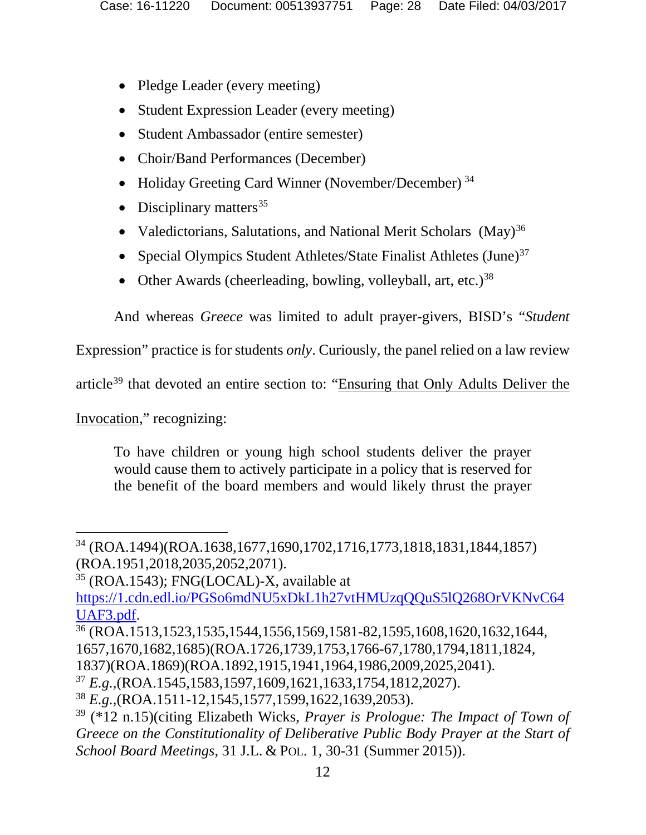- Pledge Leader (every meeting)
- Student Expression Leader (every meeting)
- Student Ambassador (entire semester)
- Choir/Band Performances (December)
- Holiday Greeting Card Winner (November/December)<sup>[34](#page-27-3)</sup>
- Disciplinary matters  $35$
- Valedictorians, Salutations, and National Merit Scholars (May)<sup>[36](#page-27-5)</sup>
- Special Olympics Student Athletes/State Finalist Athletes  $(June)^{37}$  $(June)^{37}$  $(June)^{37}$
- Other Awards (cheerleading, bowling, volleyball, art, etc.)<sup>[38](#page-28-0)</sup>

And whereas *Greece* was limited to adult prayer-givers, BISD's "*Student*

Expression" practice is for students *only*. Curiously, the panel relied on a law review

article<sup>[39](#page-28-1)</sup> that devoted an entire section to: "Ensuring that Only Adults Deliver the

Invocation," recognizing:

To have children or young high school students deliver the prayer would cause them to actively participate in a policy that is reserved for the benefit of the board members and would likely thrust the prayer

<span id="page-27-2"></span><sup>35</sup> (ROA.1543); FNG(LOCAL)-X, available at [https://1.cdn.edl.io/PGSo6mdNU5xDkL1h27vtHMUzqQQuS5lQ268OrVKNvC64](https://1.cdn.edl.io/PGSo6mdNU5xDkL1h27vtHMUzqQQuS5lQ268OrVKNvC64UAF3.pdf) [UAF3.pdf.](https://1.cdn.edl.io/PGSo6mdNU5xDkL1h27vtHMUzqQQuS5lQ268OrVKNvC64UAF3.pdf)<br><sup>36</sup> (ROA.1513,1523,1535,1544,1556,1569,1581-82,1595,1608,1620,1632,1644,

1837)(ROA.1869)(ROA.1892,1915,1941,1964,1986,2009,2025,2041).

<span id="page-27-1"></span><span id="page-27-0"></span> <sup>34</sup> (ROA.1494)(ROA.1638,1677,1690,1702,1716,1773,1818,1831,1844,1857) (ROA.1951,2018,2035,2052,2071).

<span id="page-27-4"></span><span id="page-27-3"></span><sup>1657,1670,1682,1685)(</sup>ROA.1726,1739,1753,1766-67,1780,1794,1811,1824,

<sup>37</sup> *E.g.*,(ROA.1545,1583,1597,1609,1621,1633,1754,1812,2027).

<span id="page-27-5"></span><sup>38</sup> *E.g.*,(ROA.1511-12,1545,1577,1599,1622,1639,2053).

<span id="page-27-6"></span><sup>39</sup> (\*12 n.15)(citing Elizabeth Wicks, *Prayer is Prologue: The Impact of Town of Greece on the Constitutionality of Deliberative Public Body Prayer at the Start of School Board Meetings*, 31 J.L. & POL. 1, 30-31 (Summer 2015)).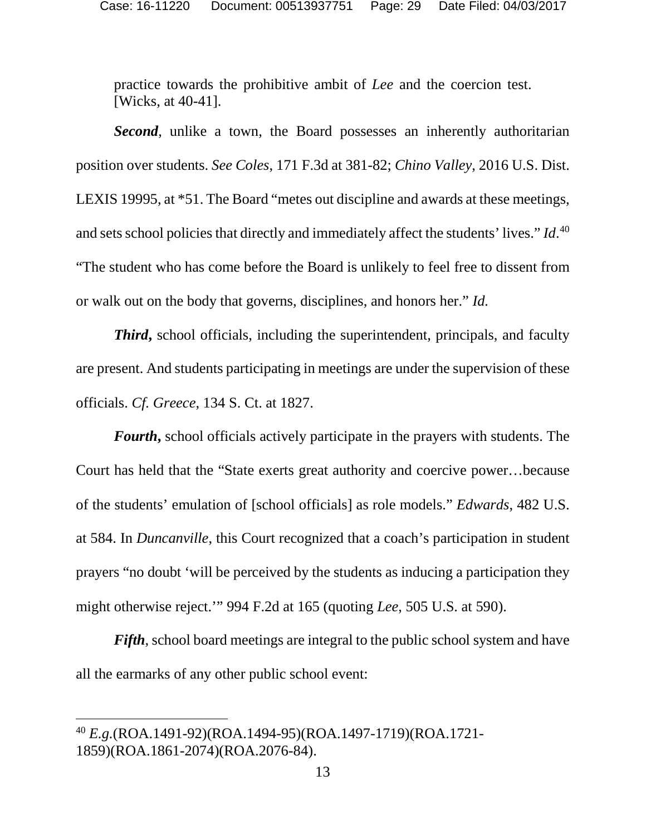practice towards the prohibitive ambit of *Lee* and the coercion test. [Wicks, at 40-41].

**Second**, unlike a town, the Board possesses an inherently authoritarian position over students. *See Coles*, 171 F.3d at 381-82; *Chino Valley*, 2016 U.S. Dist. LEXIS 19995, at \*51. The Board "metes out discipline and awards at these meetings, and sets school policies that directly and immediately affect the students' lives." *Id*. [40](#page-28-2) "The student who has come before the Board is unlikely to feel free to dissent from or walk out on the body that governs, disciplines, and honors her." *Id.* 

*Third***,** school officials, including the superintendent, principals, and faculty are present. And students participating in meetings are under the supervision of these officials. *Cf. Greece*, 134 S. Ct. at 1827.

*Fourth***,** school officials actively participate in the prayers with students. The Court has held that the "State exerts great authority and coercive power…because of the students' emulation of [school officials] as role models." *Edwards*, 482 U.S. at 584. In *Duncanville*, this Court recognized that a coach's participation in student prayers "no doubt 'will be perceived by the students as inducing a participation they might otherwise reject.'" 994 F.2d at 165 (quoting *Lee*, 505 U.S. at 590).

<span id="page-28-1"></span><span id="page-28-0"></span>*Fifth*, school board meetings are integral to the public school system and have all the earmarks of any other public school event:

<span id="page-28-2"></span> <sup>40</sup> *E.g.*(ROA.1491-92)(ROA.1494-95)(ROA.1497-1719)(ROA.1721- 1859)(ROA.1861-2074)(ROA.2076-84).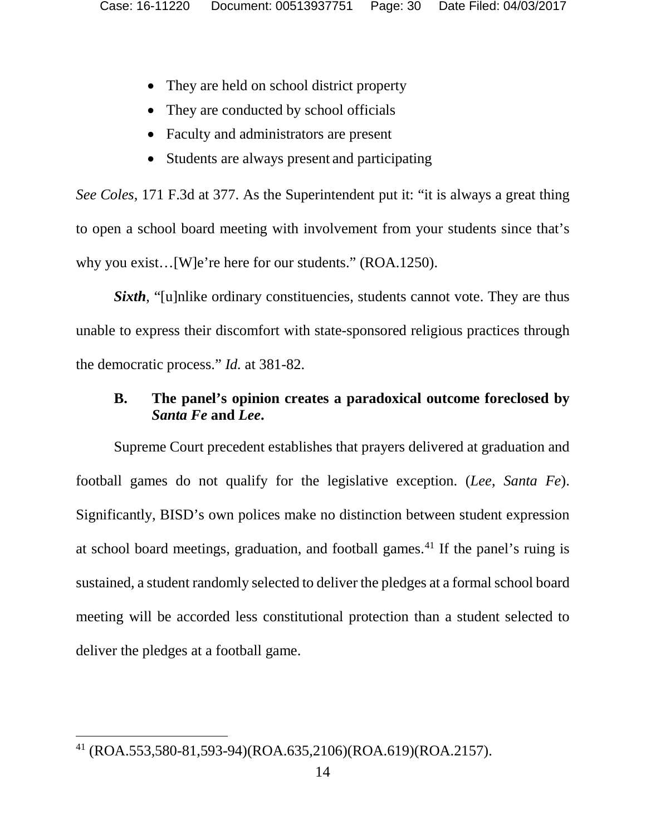- They are held on school district property
- They are conducted by school officials
- Faculty and administrators are present
- Students are always present and participating

*See Coles*, 171 F.3d at 377. As the Superintendent put it: "it is always a great thing to open a school board meeting with involvement from your students since that's why you exist... [W]e're here for our students." (ROA.1250).

*Sixth*, "[u]nlike ordinary constituencies, students cannot vote. They are thus unable to express their discomfort with state-sponsored religious practices through the democratic process." *Id.* at 381-82.

# **B. The panel's opinion creates a paradoxical outcome foreclosed by**  *Santa Fe* **and** *Lee***.**

Supreme Court precedent establishes that prayers delivered at graduation and football games do not qualify for the legislative exception. (*Lee*, *Santa Fe*). Significantly, BISD's own polices make no distinction between student expression at school board meetings, graduation, and football games.[41](#page-30-0) If the panel's ruing is sustained, a student randomly selected to deliver the pledges at a formal school board meeting will be accorded less constitutional protection than a student selected to deliver the pledges at a football game.

 <sup>41</sup> (ROA.553,580-81,593-94)(ROA.635,2106)(ROA.619)(ROA.2157).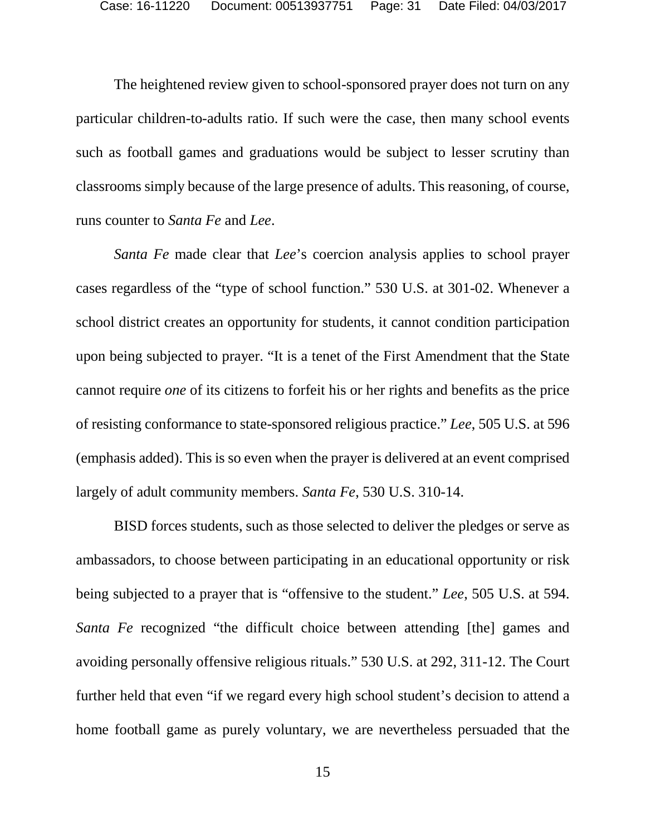The heightened review given to school-sponsored prayer does not turn on any particular children-to-adults ratio. If such were the case, then many school events such as football games and graduations would be subject to lesser scrutiny than classrooms simply because of the large presence of adults. This reasoning, of course, runs counter to *Santa Fe* and *Lee*.

*Santa Fe* made clear that *Lee*'s coercion analysis applies to school prayer cases regardless of the "type of school function." 530 U.S. at 301-02. Whenever a school district creates an opportunity for students, it cannot condition participation upon being subjected to prayer. "It is a tenet of the First Amendment that the State cannot require *one* of its citizens to forfeit his or her rights and benefits as the price of resisting conformance to state-sponsored religious practice." *Lee*, 505 U.S. at 596 (emphasis added). This is so even when the prayer is delivered at an event comprised largely of adult community members. *Santa Fe*, 530 U.S. 310-14.

<span id="page-30-0"></span>BISD forces students, such as those selected to deliver the pledges or serve as ambassadors, to choose between participating in an educational opportunity or risk being subjected to a prayer that is "offensive to the student." *Lee*, 505 U.S. at 594. *Santa Fe* recognized "the difficult choice between attending [the] games and avoiding personally offensive religious rituals." 530 U.S. at 292, 311-12. The Court further held that even "if we regard every high school student's decision to attend a home football game as purely voluntary, we are nevertheless persuaded that the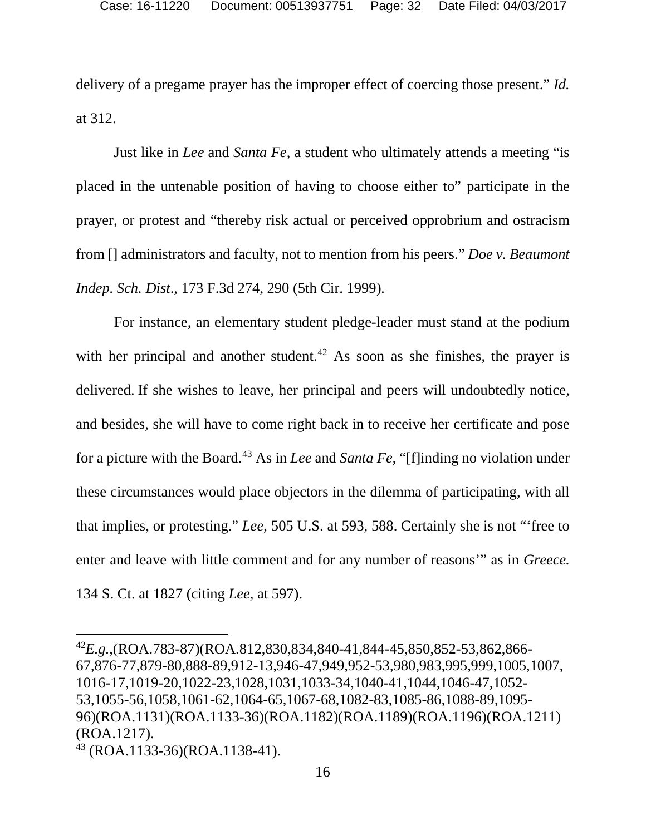delivery of a pregame prayer has the improper effect of coercing those present." *Id.* at 312.

Just like in *Lee* and *Santa Fe*, a student who ultimately attends a meeting "is placed in the untenable position of having to choose either to" participate in the prayer, or protest and "thereby risk actual or perceived opprobrium and ostracism from [] administrators and faculty, not to mention from his peers." *Doe v. Beaumont Indep. Sch. Dist*., 173 F.3d 274, 290 (5th Cir. 1999)*.*

For instance, an elementary student pledge-leader must stand at the podium with her principal and another student.<sup>[42](#page-32-0)</sup> As soon as she finishes, the prayer is delivered. If she wishes to leave, her principal and peers will undoubtedly notice, and besides, she will have to come right back in to receive her certificate and pose for a picture with the Board.[43](#page-32-1) As in *Lee* and *Santa Fe*, "[f]inding no violation under these circumstances would place objectors in the dilemma of participating, with all that implies, or protesting." *Lee*, 505 U.S. at 593, 588. Certainly she is not "'free to enter and leave with little comment and for any number of reasons'" as in *Greece.* 134 S. Ct. at 1827 (citing *Lee*, at 597).

 <sup>42</sup>*E.g.*,(ROA.783-87)(ROA.812,830,834,840-41,844-45,850,852-53,862,866- 67,876-77,879-80,888-89,912-13,946-47,949,952-53,980,983,995,999,1005,1007, 1016-17,1019-20,1022-23,1028,1031,1033-34,1040-41,1044,1046-47,1052- 53,1055-56,1058,1061-62,1064-65,1067-68,1082-83,1085-86,1088-89,1095- 96)(ROA.1131)(ROA.1133-36)(ROA.1182)(ROA.1189)(ROA.1196)(ROA.1211) (ROA.1217).

<sup>43</sup> (ROA.1133-36)(ROA.1138-41).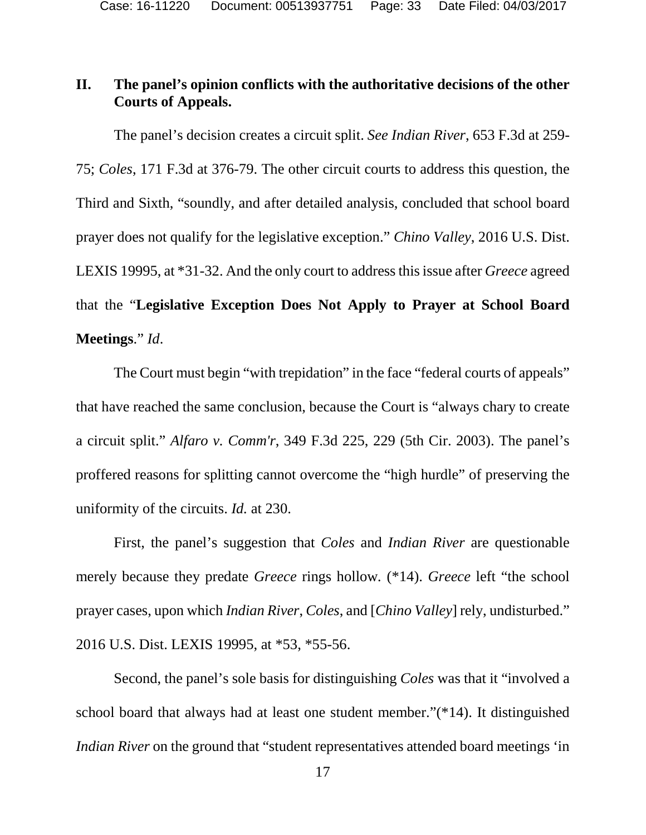# **II. The panel's opinion conflicts with the authoritative decisions of the other Courts of Appeals.**

The panel's decision creates a circuit split. *See Indian River*, 653 F.3d at 259- 75; *Coles*, 171 F.3d at 376-79. The other circuit courts to address this question, the Third and Sixth, "soundly, and after detailed analysis, concluded that school board prayer does not qualify for the legislative exception." *Chino Valley*, 2016 U.S. Dist. LEXIS 19995, at \*31-32. And the only court to address this issue after *Greece* agreed that the "**Legislative Exception Does Not Apply to Prayer at School Board Meetings**." *Id*.

The Court must begin "with trepidation" in the face "federal courts of appeals" that have reached the same conclusion, because the Court is "always chary to create a circuit split." *Alfaro v. Comm'r*, 349 F.3d 225, 229 (5th Cir. 2003). The panel's proffered reasons for splitting cannot overcome the "high hurdle" of preserving the uniformity of the circuits. *Id.* at 230.

First, the panel's suggestion that *Coles* and *Indian River* are questionable merely because they predate *Greece* rings hollow*.* (\*14). *Greece* left "the school prayer cases, upon which *Indian River*, *Coles*, and [*Chino Valley*] rely, undisturbed." 2016 U.S. Dist. LEXIS 19995, at \*53, \*55-56.

<span id="page-32-1"></span><span id="page-32-0"></span>Second, the panel's sole basis for distinguishing *Coles* was that it "involved a school board that always had at least one student member."(\*14). It distinguished *Indian River* on the ground that "student representatives attended board meetings 'in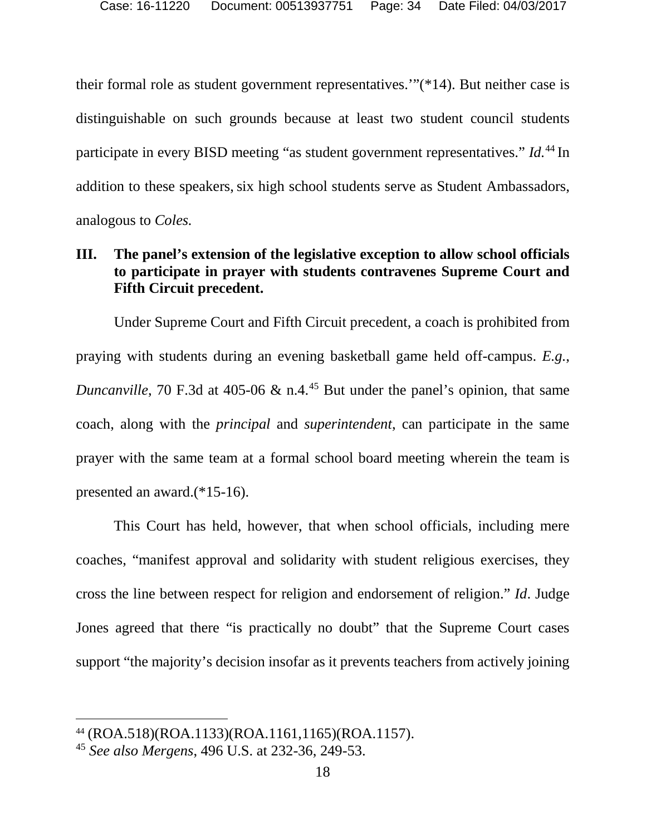their formal role as student government representatives.'"(\*14). But neither case is distinguishable on such grounds because at least two student council students participate in every BISD meeting "as student government representatives." *Id.*[44](#page-34-0) In addition to these speakers, six high school students serve as Student Ambassadors, analogous to *Coles.*

# **III. The panel's extension of the legislative exception to allow school officials to participate in prayer with students contravenes Supreme Court and Fifth Circuit precedent.**

Under Supreme Court and Fifth Circuit precedent, a coach is prohibited from praying with students during an evening basketball game held off-campus. *E.g.*, *Duncanville*, 70 F.3d at 405-06 & n.4.<sup>[45](#page-35-0)</sup> But under the panel's opinion, that same coach, along with the *principal* and *superintendent*, can participate in the same prayer with the same team at a formal school board meeting wherein the team is presented an award.(\*15-16).

This Court has held, however, that when school officials, including mere coaches, "manifest approval and solidarity with student religious exercises, they cross the line between respect for religion and endorsement of religion." *Id*. Judge Jones agreed that there "is practically no doubt" that the Supreme Court cases support "the majority's decision insofar as it prevents teachers from actively joining

 <sup>44</sup> (ROA.518)(ROA.1133)(ROA.1161,1165)(ROA.1157).

<sup>45</sup> *See also Mergens*, 496 U.S. at 232-36, 249-53.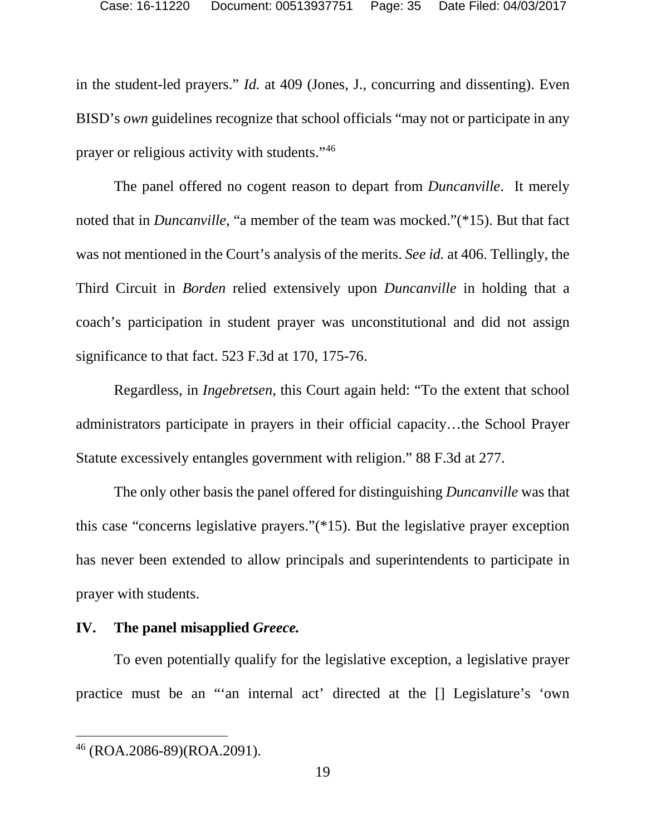in the student-led prayers." *Id.* at 409 (Jones, J., concurring and dissenting). Even BISD's *own* guidelines recognize that school officials "may not or participate in any prayer or religious activity with students."[46](#page-35-1)

The panel offered no cogent reason to depart from *Duncanville*. It merely noted that in *Duncanville*, "a member of the team was mocked."(\*15). But that fact was not mentioned in the Court's analysis of the merits. *See id.* at 406. Tellingly, the Third Circuit in *Borden* relied extensively upon *Duncanville* in holding that a coach's participation in student prayer was unconstitutional and did not assign significance to that fact. 523 F.3d at 170, 175-76.

Regardless, in *Ingebretsen*, this Court again held: "To the extent that school administrators participate in prayers in their official capacity…the School Prayer Statute excessively entangles government with religion." 88 F.3d at 277.

The only other basis the panel offered for distinguishing *Duncanville* was that this case "concerns legislative prayers."(\*15). But the legislative prayer exception has never been extended to allow principals and superintendents to participate in prayer with students.

# **IV. The panel misapplied** *Greece.*

To even potentially qualify for the legislative exception, a legislative prayer practice must be an "'an internal act' directed at the [] Legislature's 'own

<span id="page-34-0"></span> <sup>46</sup> (ROA.2086-89)(ROA.2091).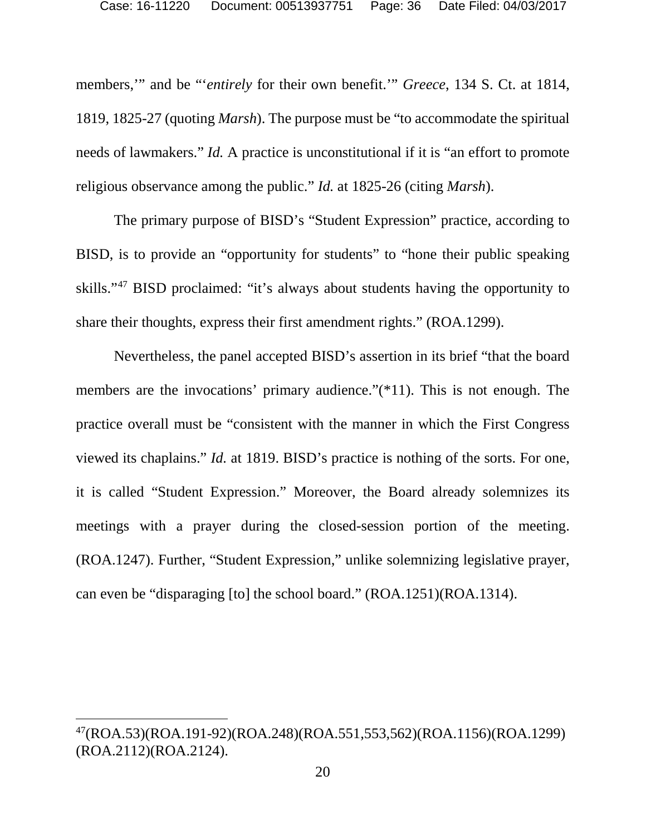members,'" and be "'*entirely* for their own benefit.'" *Greece*, 134 S. Ct. at 1814, 1819, 1825-27 (quoting *Marsh*). The purpose must be "to accommodate the spiritual needs of lawmakers." *Id.* A practice is unconstitutional if it is "an effort to promote religious observance among the public." *Id.* at 1825-26 (citing *Marsh*).

The primary purpose of BISD's "Student Expression" practice, according to BISD, is to provide an "opportunity for students" to "hone their public speaking skills."[47](#page-37-0) BISD proclaimed: "it's always about students having the opportunity to share their thoughts, express their first amendment rights." (ROA.1299).

Nevertheless, the panel accepted BISD's assertion in its brief "that the board members are the invocations' primary audience."(\*11). This is not enough. The practice overall must be "consistent with the manner in which the First Congress viewed its chaplains." *Id.* at 1819. BISD's practice is nothing of the sorts. For one, it is called "Student Expression." Moreover, the Board already solemnizes its meetings with a prayer during the closed-session portion of the meeting. (ROA.1247). Further, "Student Expression," unlike solemnizing legislative prayer, can even be "disparaging [to] the school board." (ROA.1251)(ROA.1314).

<span id="page-35-1"></span><span id="page-35-0"></span> <sup>47(</sup>ROA.53)(ROA.191-92)(ROA.248)(ROA.551,553,562)(ROA.1156)(ROA.1299) (ROA.2112)(ROA.2124).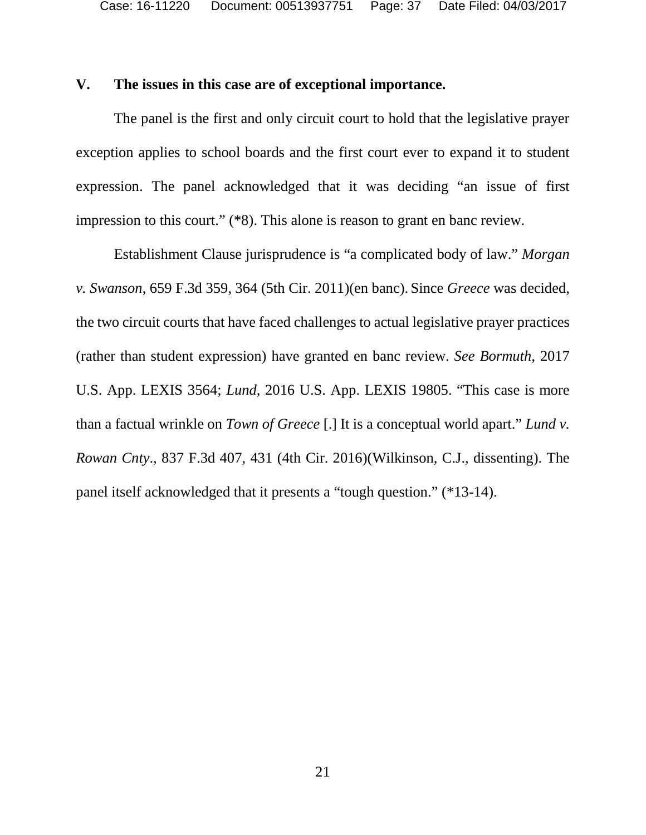# **V. The issues in this case are of exceptional importance.**

The panel is the first and only circuit court to hold that the legislative prayer exception applies to school boards and the first court ever to expand it to student expression. The panel acknowledged that it was deciding "an issue of first impression to this court." (\*8). This alone is reason to grant en banc review.

Establishment Clause jurisprudence is "a complicated body of law." *Morgan v. Swanson*, 659 F.3d 359, 364 (5th Cir. 2011)(en banc). Since *Greece* was decided, the two circuit courts that have faced challenges to actual legislative prayer practices (rather than student expression) have granted en banc review. *See Bormuth*, 2017 U.S. App. LEXIS 3564; *Lund*, 2016 U.S. App. LEXIS 19805. "This case is more than a factual wrinkle on *Town of Greece* [.] It is a conceptual world apart." *Lund v. Rowan Cnty*., 837 F.3d 407, 431 (4th Cir. 2016)(Wilkinson, C.J., dissenting). The panel itself acknowledged that it presents a "tough question." (\*13-14).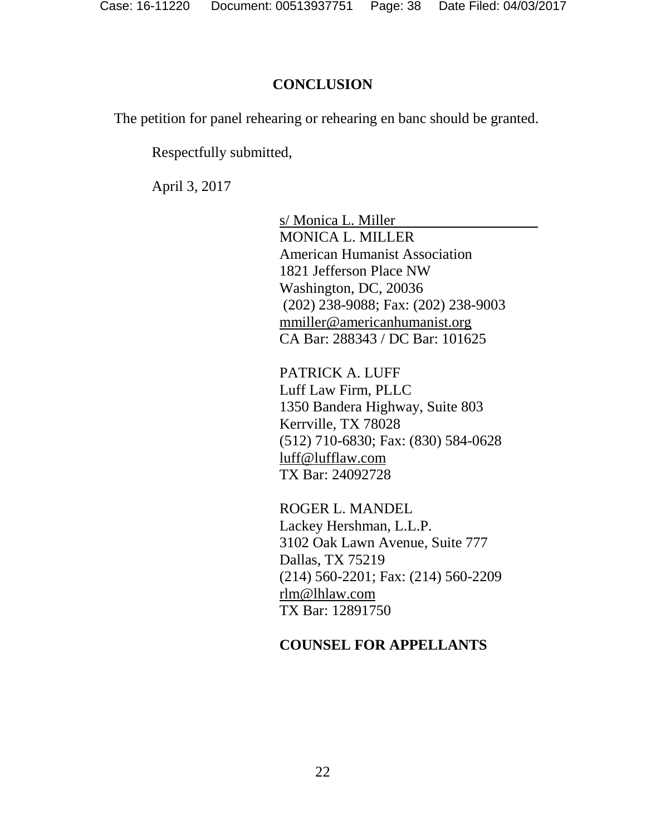#### **CONCLUSION**

The petition for panel rehearing or rehearing en banc should be granted.

Respectfully submitted,

April 3, 2017

s/ Monica L. Miller MONICA L. MILLER American Humanist Association 1821 Jefferson Place NW Washington, DC, 20036 (202) 238-9088; Fax: (202) 238-9003 [mmiller@americanhumanist.org](mailto:mmiller@americanhumanist.org) CA Bar: 288343 / DC Bar: 101625

PATRICK A. LUFF Luff Law Firm, PLLC 1350 Bandera Highway, Suite 803 Kerrville, TX 78028 (512) 710-6830; Fax: (830) 584-0628 [luff@lufflaw.com](mailto:luff@lufflaw.com) TX Bar: 24092728

ROGER L. MANDEL Lackey Hershman, L.L.P. 3102 Oak Lawn Avenue, Suite 777 Dallas, TX 75219 (214) 560-2201; Fax: (214) 560-2209 [rlm@lhlaw.com](mailto:rlm@lhlaw.com) TX Bar: 12891750

#### <span id="page-37-0"></span>**COUNSEL FOR APPELLANTS**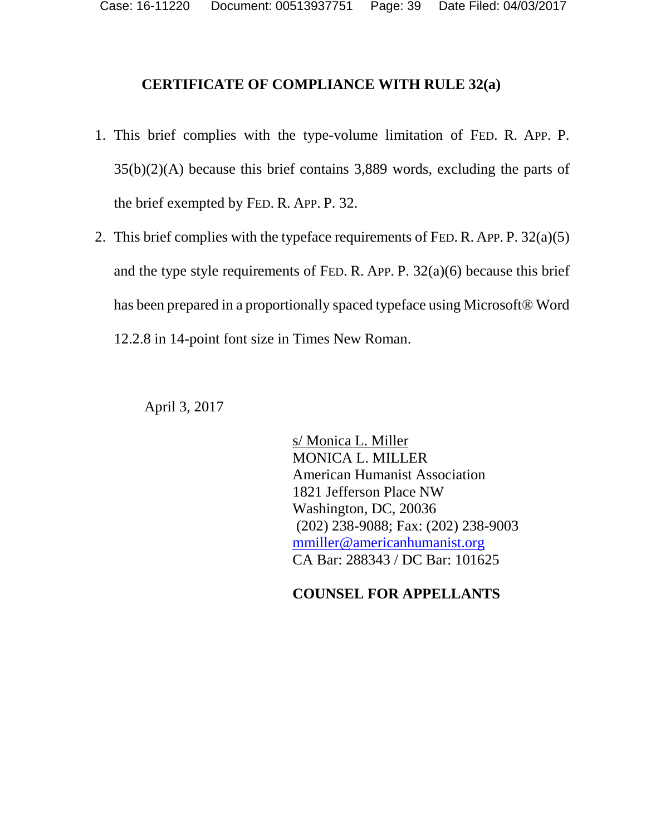# **CERTIFICATE OF COMPLIANCE WITH RULE 32(a)**

- 1. This brief complies with the type-volume limitation of FED. R. APP. P. 35(b)(2)(A) because this brief contains 3,889 words, excluding the parts of the brief exempted by FED. R. APP. P. 32.
- 2. This brief complies with the typeface requirements of FED. R. APP. P. 32(a)(5) and the type style requirements of FED. R. APP. P.  $32(a)(6)$  because this brief has been prepared in a proportionally spaced typeface using Microsoft® Word 12.2.8 in 14-point font size in Times New Roman.

April 3, 2017

s/ Monica L. Miller MONICA L. MILLER American Humanist Association 1821 Jefferson Place NW Washington, DC, 20036 (202) 238-9088; Fax: (202) 238-9003 [mmiller@americanhumanist.org](mailto:mmiller@americanhumanist.org) CA Bar: 288343 / DC Bar: 101625

# **COUNSEL FOR APPELLANTS**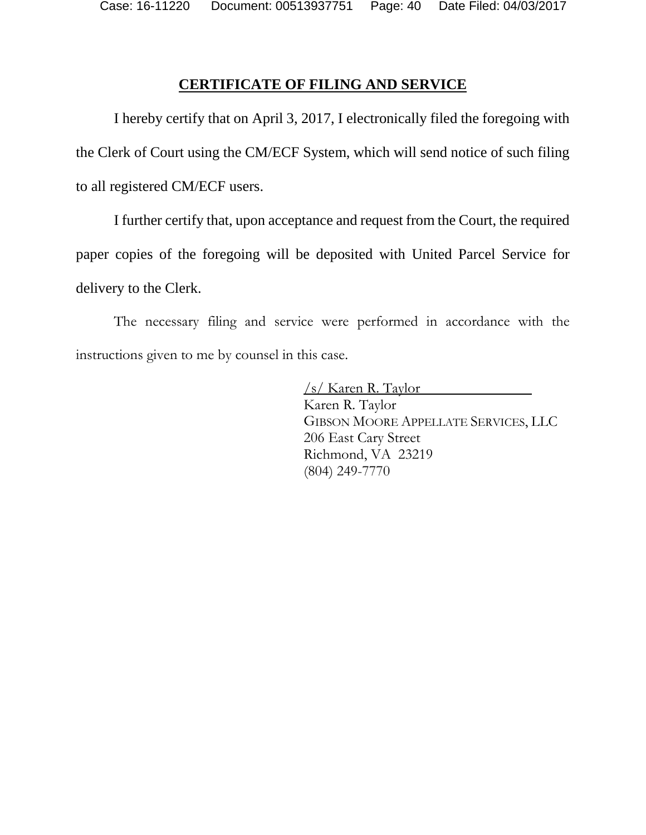Case: 16-11220 Document: 00513937751 Page: 40 Date Filed: 04/03/2017

## **CERTIFICATE OF FILING AND SERVICE**

I hereby certify that on April 3, 2017, I electronically filed the foregoing with the Clerk of Court using the CM/ECF System, which will send notice of such filing to all registered CM/ECF users.

I further certify that, upon acceptance and request from the Court, the required paper copies of the foregoing will be deposited with United Parcel Service for delivery to the Clerk.

The necessary filing and service were performed in accordance with the instructions given to me by counsel in this case.

> /s/ Karen R. Taylor Karen R. Taylor GIBSON MOORE APPELLATE SERVICES, LLC 206 East Cary Street Richmond, VA 23219 (804) 249-7770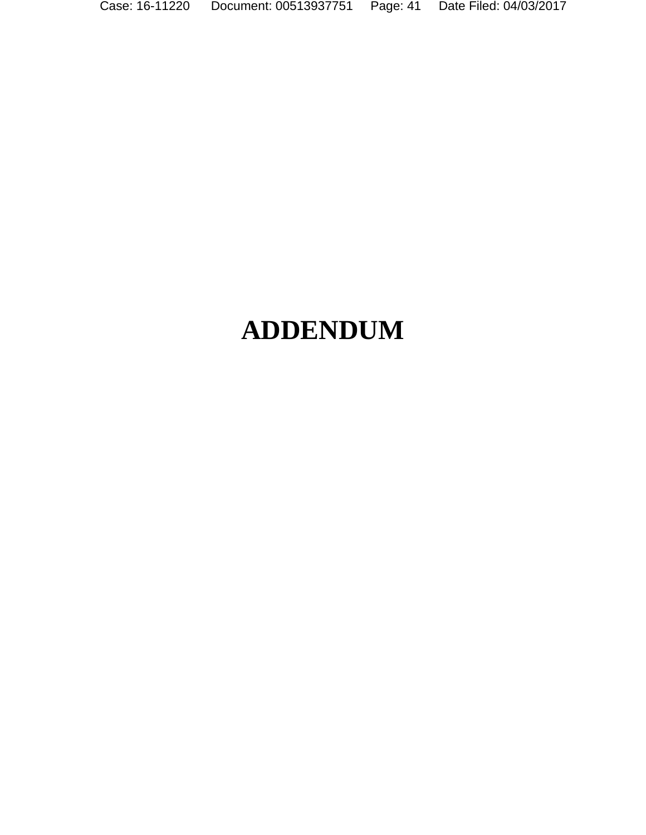Case: 16-11220 Document: 00513937751 Page: 41 Date Filed: 04/03/2017

# **ADDENDUM**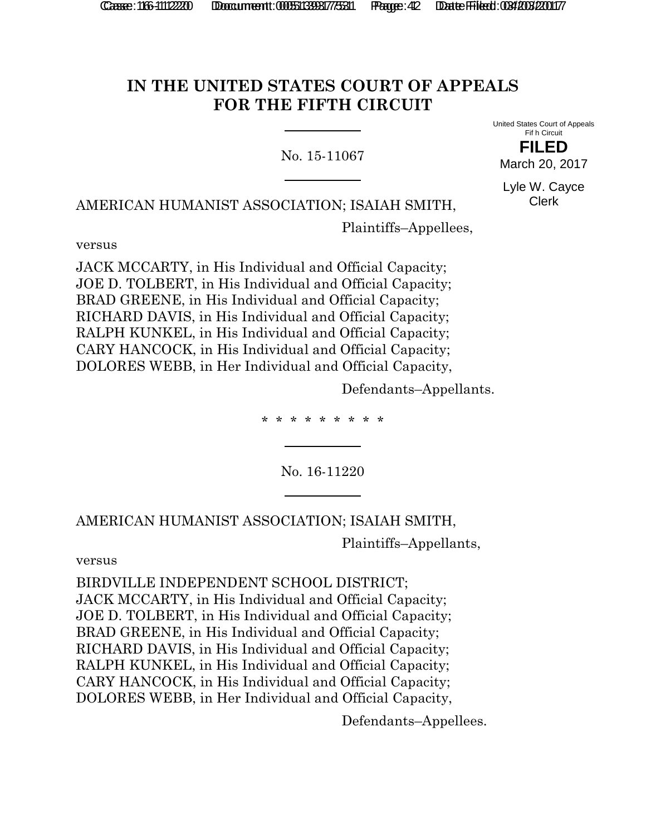# **IN THE UNITED STATES COURT OF APPEALS FOR THE FIFTH CIRCUIT**

No. 15-11067

United States Court of Appeals Fif h Circuit **FILED**

March 20, 2017

Lyle W. Cayce Clerk

AMERICAN HUMANIST ASSOCIATION; ISAIAH SMITH,

Plaintiffs–Appellees,

versus

JACK MCCARTY, in His Individual and Official Capacity; JOE D. TOLBERT, in His Individual and Official Capacity; BRAD GREENE, in His Individual and Official Capacity; RICHARD DAVIS, in His Individual and Official Capacity; RALPH KUNKEL, in His Individual and Official Capacity; CARY HANCOCK, in His Individual and Official Capacity; DOLORES WEBB, in Her Individual and Official Capacity,

Defendants–Appellants.

\* \* \* \* \* \* \* \* \*

No. 16-11220

AMERICAN HUMANIST ASSOCIATION; ISAIAH SMITH,

Plaintiffs–Appellants,

versus

BIRDVILLE INDEPENDENT SCHOOL DISTRICT; JACK MCCARTY, in His Individual and Official Capacity; JOE D. TOLBERT, in His Individual and Official Capacity; BRAD GREENE, in His Individual and Official Capacity; RICHARD DAVIS, in His Individual and Official Capacity; RALPH KUNKEL, in His Individual and Official Capacity; CARY HANCOCK, in His Individual and Official Capacity; DOLORES WEBB, in Her Individual and Official Capacity,

Defendants–Appellees.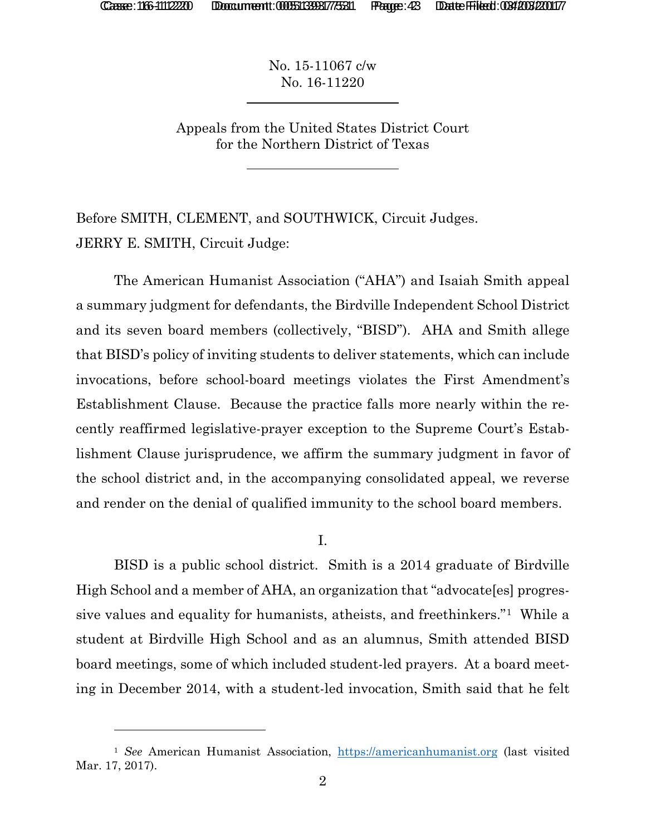l

No. 15-11067 c/w No. 16-11220

Appeals from the United States District Court for the Northern District of Texas

Before SMITH, CLEMENT, and SOUTHWICK, Circuit Judges. JERRY E. SMITH, Circuit Judge:

The American Humanist Association ("AHA") and Isaiah Smith appeal a summary judgment for defendants, the Birdville Independent School District and its seven board members (collectively, "BISD"). AHA and Smith allege that BISD's policy of inviting students to deliver statements, which can include invocations, before school-board meetings violates the First Amendment's Establishment Clause. Because the practice falls more nearly within the recently reaffirmed legislative-prayer exception to the Supreme Court's Establishment Clause jurisprudence, we affirm the summary judgment in favor of the school district and, in the accompanying consolidated appeal, we reverse and render on the denial of qualified immunity to the school board members.

I.

BISD is a public school district. Smith is a 2014 graduate of Birdville High School and a member of AHA, an organization that "advocate[es] progressive values and equality for humanists, atheists, and freethinkers."1 While a student at Birdville High School and as an alumnus, Smith attended BISD board meetings, some of which included student-led prayers. At a board meeting in December 2014, with a student-led invocation, Smith said that he felt

<sup>&</sup>lt;sup>1</sup> See American Humanist Association, https://americanhumanist.org (last visited Mar. 17, 2017).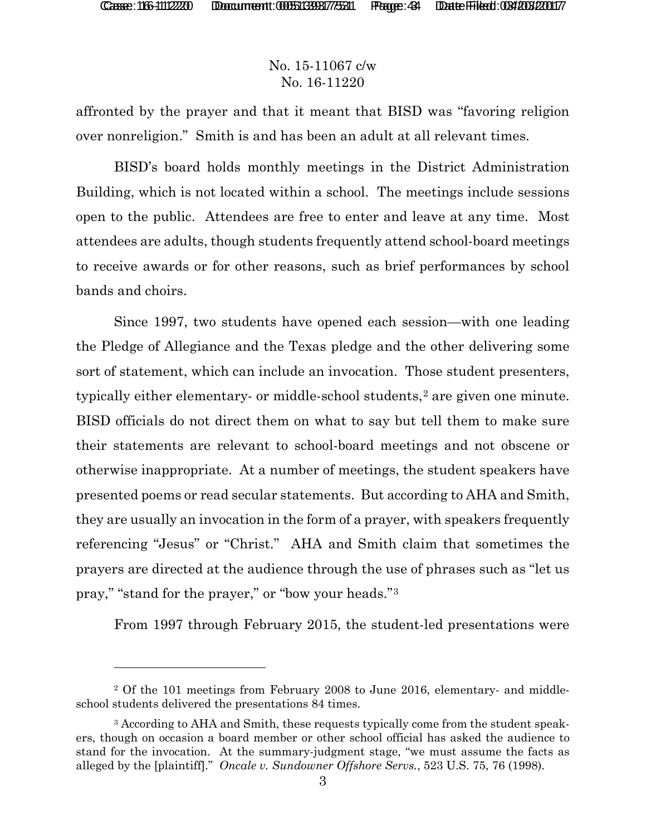## No. 15-11067 c/w No. 16-11220

affronted by the prayer and that it meant that BISD was "favoring religion over nonreligion." Smith is and has been an adult at all relevant times.

BISD's board holds monthly meetings in the District Administration Building, which is not located within a school. The meetings include sessions open to the public. Attendees are free to enter and leave at any time. Most attendees are adults, though students frequently attend school-board meetings to receive awards or for other reasons, such as brief performances by school bands and choirs.

Since 1997, two students have opened each session—with one leading the Pledge of Allegiance and the Texas pledge and the other delivering some sort of statement, which can include an invocation. Those student presenters, typically either elementary- or middle-school students,<sup>2</sup> are given one minute. BISD officials do not direct them on what to say but tell them to make sure their statements are relevant to school-board meetings and not obscene or otherwise inappropriate. At a number of meetings, the student speakers have presented poems or read secular statements. But according to AHA and Smith, they are usually an invocation in the form of a prayer, with speakers frequently referencing "Jesus" or "Christ." AHA and Smith claim that sometimes the prayers are directed at the audience through the use of phrases such as "let us pray," "stand for the prayer," or "bow your heads."3

From 1997 through February 2015, the student-led presentations were

<sup>&</sup>lt;sup>2</sup> Of the 101 meetings from February 2008 to June 2016, elementary- and middleschool students delivered the presentations 84 times.

<sup>&</sup>lt;sup>3</sup> According to AHA and Smith, these requests typically come from the student speakers, though on occasion a board member or other school official has asked the audience to stand for the invocation. At the summary-judgment stage, "we must assume the facts as alleged by the [plaintiff]." *Oncale v. Sundowner Offshore Servs.*, 523 U.S. 75, 76 (1998).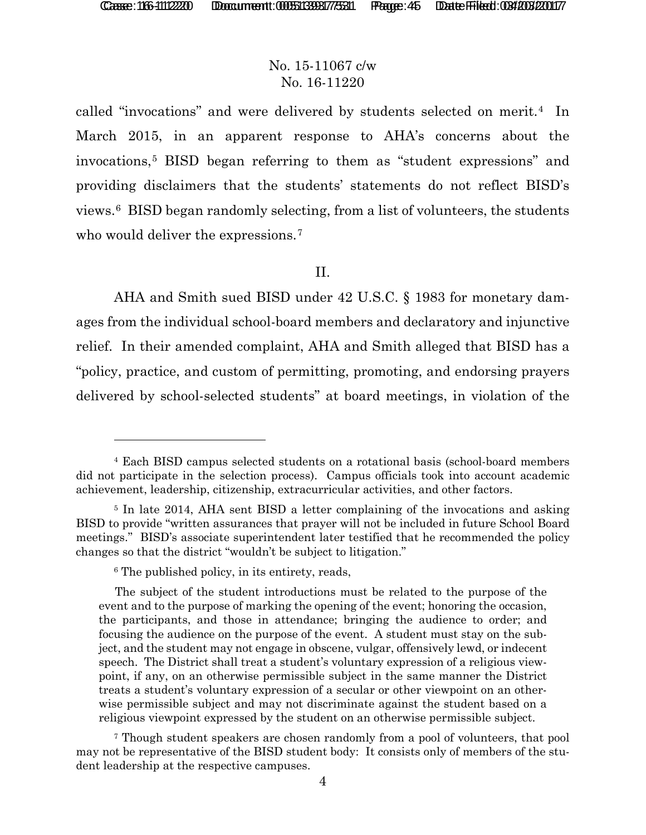# No. 15-11067 c/w No. 16-11220

called "invocations" and were delivered by students selected on merit.<sup>4</sup> In March 2015, in an apparent response to AHA's concerns about the invocations,5 BISD began referring to them as "student expressions" and providing disclaimers that the students' statements do not reflect BISD's views.6 BISD began randomly selecting, from a list of volunteers, the students who would deliver the expressions.<sup>7</sup>

#### II.

AHA and Smith sued BISD under 42 U.S.C. § 1983 for monetary damages from the individual school-board members and declaratory and injunctive relief. In their amended complaint, AHA and Smith alleged that BISD has a "policy, practice, and custom of permitting, promoting, and endorsing prayers delivered by school-selected students" at board meetings, in violation of the

<sup>4</sup> Each BISD campus selected students on a rotational basis (school-board members did not participate in the selection process). Campus officials took into account academic achievement, leadership, citizenship, extracurricular activities, and other factors.

<sup>5</sup> In late 2014, AHA sent BISD a letter complaining of the invocations and asking BISD to provide "written assurances that prayer will not be included in future School Board meetings." BISD's associate superintendent later testified that he recommended the policy changes so that the district "wouldn't be subject to litigation."

<sup>6</sup> The published policy, in its entirety, reads,

The subject of the student introductions must be related to the purpose of the event and to the purpose of marking the opening of the event; honoring the occasion, the participants, and those in attendance; bringing the audience to order; and focusing the audience on the purpose of the event. A student must stay on the subject, and the student may not engage in obscene, vulgar, offensively lewd, or indecent speech. The District shall treat a student's voluntary expression of a religious viewpoint, if any, on an otherwise permissible subject in the same manner the District treats a student's voluntary expression of a secular or other viewpoint on an otherwise permissible subject and may not discriminate against the student based on a religious viewpoint expressed by the student on an otherwise permissible subject.

<sup>7</sup> Though student speakers are chosen randomly from a pool of volunteers, that pool may not be representative of the BISD student body: It consists only of members of the student leadership at the respective campuses.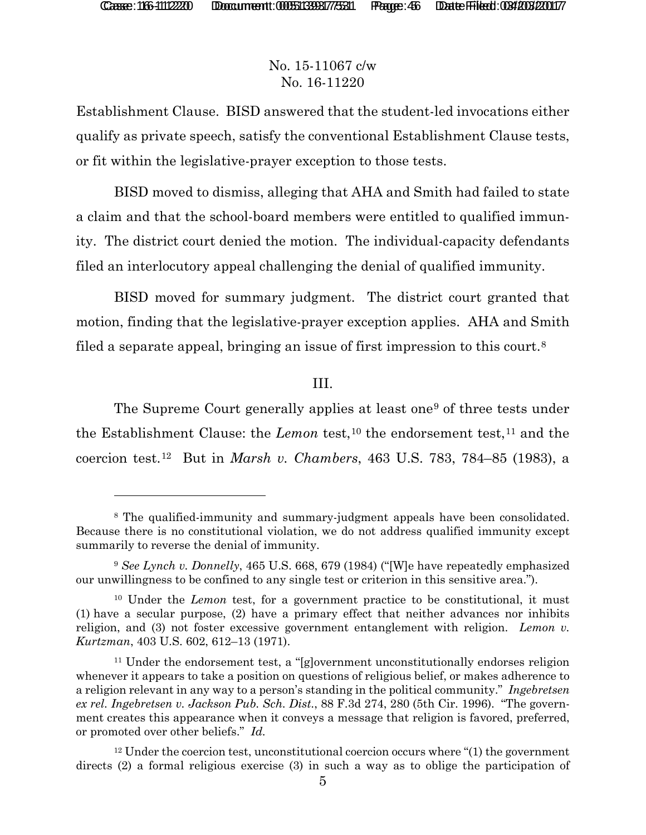l

# No. 15-11067 c/w No. 16-11220

Establishment Clause. BISD answered that the student-led invocations either qualify as private speech, satisfy the conventional Establishment Clause tests, or fit within the legislative-prayer exception to those tests.

BISD moved to dismiss, alleging that AHA and Smith had failed to state a claim and that the school-board members were entitled to qualified immunity. The district court denied the motion. The individual-capacity defendants filed an interlocutory appeal challenging the denial of qualified immunity.

BISD moved for summary judgment. The district court granted that motion, finding that the legislative-prayer exception applies. AHA and Smith filed a separate appeal, bringing an issue of first impression to this court.8

#### III.

The Supreme Court generally applies at least one<sup>9</sup> of three tests under the Establishment Clause: the *Lemon* test,<sup>10</sup> the endorsement test,<sup>11</sup> and the coercion test.12 But in *Marsh v. Chambers*, 463 U.S. 783, 784–85 (1983), a

<sup>8</sup> The qualified-immunity and summary-judgment appeals have been consolidated. Because there is no constitutional violation, we do not address qualified immunity except summarily to reverse the denial of immunity.

<sup>9</sup> *See Lynch v. Donnelly*, 465 U.S. 668, 679 (1984) ("[W]e have repeatedly emphasized our unwillingness to be confined to any single test or criterion in this sensitive area.").

<sup>10</sup> Under the *Lemon* test, for a government practice to be constitutional, it must (1) have a secular purpose, (2) have a primary effect that neither advances nor inhibits religion, and (3) not foster excessive government entanglement with religion. *Lemon v. Kurtzman*, 403 U.S. 602, 612–13 (1971).

<sup>11</sup> Under the endorsement test, a "[g]overnment unconstitutionally endorses religion whenever it appears to take a position on questions of religious belief, or makes adherence to a religion relevant in any way to a person's standing in the political community." *Ingebretsen ex rel. Ingebretsen v. Jackson Pub. Sch. Dist.*, 88 F.3d 274, 280 (5th Cir. 1996). "The government creates this appearance when it conveys a message that religion is favored, preferred, or promoted over other beliefs." *Id.*

 $12$  Under the coercion test, unconstitutional coercion occurs where "(1) the government directs (2) a formal religious exercise (3) in such a way as to oblige the participation of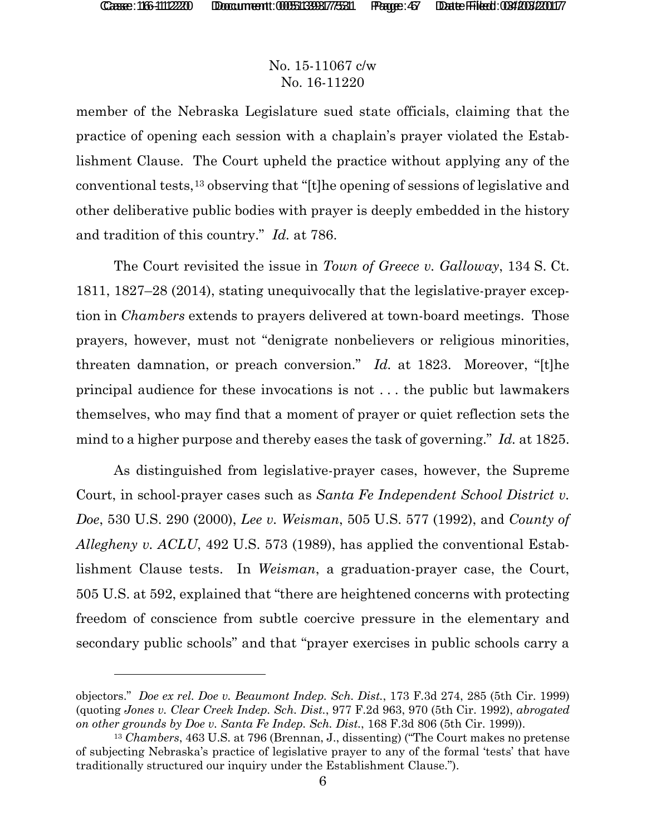## No. 15-11067 c/w No. 16-11220

member of the Nebraska Legislature sued state officials, claiming that the practice of opening each session with a chaplain's prayer violated the Establishment Clause. The Court upheld the practice without applying any of the conventional tests,13 observing that "[t]he opening of sessions of legislative and other deliberative public bodies with prayer is deeply embedded in the history and tradition of this country." *Id.* at 786.

The Court revisited the issue in *Town of Greece v. Galloway*, 134 S. Ct. 1811, 1827–28 (2014), stating unequivocally that the legislative-prayer exception in *Chambers* extends to prayers delivered at town-board meetings. Those prayers, however, must not "denigrate nonbelievers or religious minorities, threaten damnation, or preach conversion." *Id.* at 1823. Moreover, "[t]he principal audience for these invocations is not . . . the public but lawmakers themselves, who may find that a moment of prayer or quiet reflection sets the mind to a higher purpose and thereby eases the task of governing." *Id.* at 1825.

As distinguished from legislative-prayer cases, however, the Supreme Court, in school-prayer cases such as *Santa Fe Independent School District v. Doe*, 530 U.S. 290 (2000), *Lee v. Weisman*, 505 U.S. 577 (1992), and *County of Allegheny v. ACLU*, 492 U.S. 573 (1989), has applied the conventional Establishment Clause tests. In *Weisman*, a graduation-prayer case, the Court, 505 U.S. at 592, explained that "there are heightened concerns with protecting freedom of conscience from subtle coercive pressure in the elementary and secondary public schools" and that "prayer exercises in public schools carry a

objectors." *Doe ex rel. Doe v. Beaumont Indep. Sch. Dist.*, 173 F.3d 274, 285 (5th Cir. 1999) (quoting *Jones v. Clear Creek Indep. Sch. Dist.*, 977 F.2d 963, 970 (5th Cir. 1992), *abrogated on other grounds by Doe v. Santa Fe Indep. Sch. Dist.*, 168 F.3d 806 (5th Cir. 1999)).

<sup>13</sup> *Chambers*, 463 U.S. at 796 (Brennan, J., dissenting) ("The Court makes no pretense of subjecting Nebraska's practice of legislative prayer to any of the formal 'tests' that have traditionally structured our inquiry under the Establishment Clause.").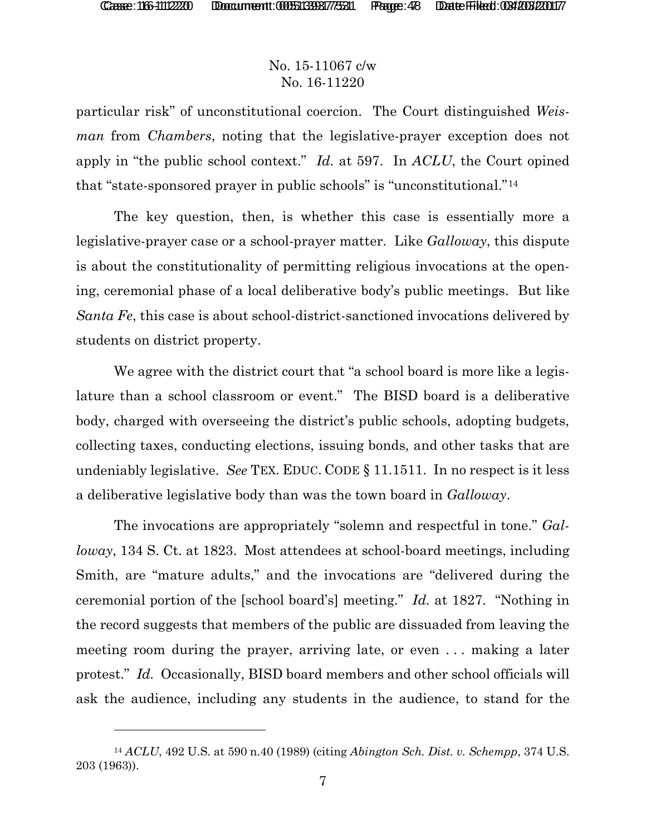l

#### No. 15-11067 c/w No. 16-11220

particular risk" of unconstitutional coercion. The Court distinguished *Weisman* from *Chambers*, noting that the legislative-prayer exception does not apply in "the public school context." *Id.* at 597. In *ACLU*, the Court opined that "state-sponsored prayer in public schools" is "unconstitutional."14

The key question, then, is whether this case is essentially more a legislative-prayer case or a school-prayer matter. Like *Galloway*, this dispute is about the constitutionality of permitting religious invocations at the opening, ceremonial phase of a local deliberative body's public meetings. But like *Santa Fe*, this case is about school-district-sanctioned invocations delivered by students on district property.

We agree with the district court that "a school board is more like a legislature than a school classroom or event." The BISD board is a deliberative body, charged with overseeing the district's public schools, adopting budgets, collecting taxes, conducting elections, issuing bonds, and other tasks that are undeniably legislative. *See* TEX. EDUC. CODE § 11.1511. In no respect is it less a deliberative legislative body than was the town board in *Galloway*.

The invocations are appropriately "solemn and respectful in tone." *Galloway*, 134 S. Ct. at 1823. Most attendees at school-board meetings, including Smith, are "mature adults," and the invocations are "delivered during the ceremonial portion of the [school board's] meeting." *Id.* at 1827. "Nothing in the record suggests that members of the public are dissuaded from leaving the meeting room during the prayer, arriving late, or even . . . making a later protest." *Id.* Occasionally, BISD board members and other school officials will ask the audience, including any students in the audience, to stand for the

<sup>14</sup> *ACLU*, 492 U.S. at 590 n.40 (1989) (citing *Abington Sch. Dist. v. Schempp*, 374 U.S. 203 (1963)).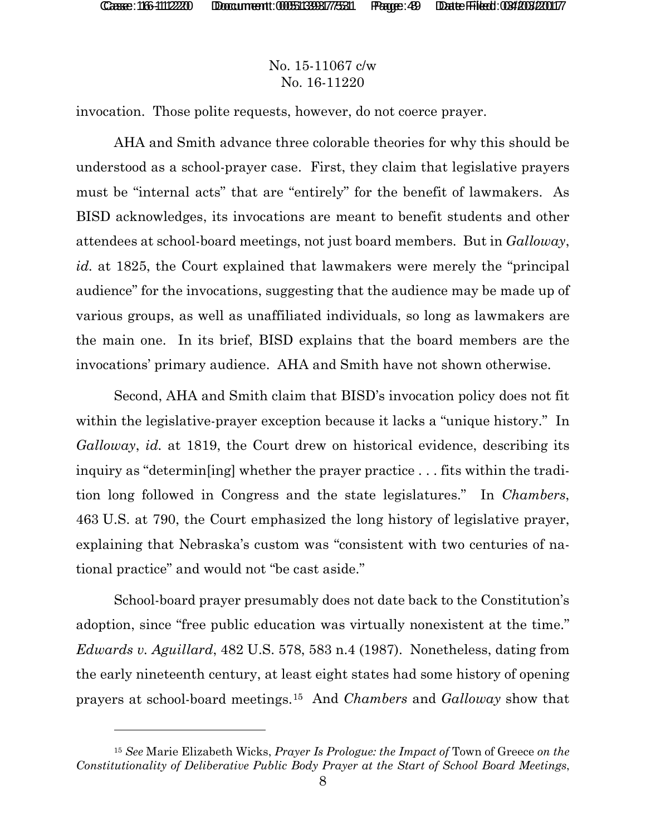l

## No. 15-11067 c/w No. 16-11220

invocation. Those polite requests, however, do not coerce prayer.

AHA and Smith advance three colorable theories for why this should be understood as a school-prayer case. First, they claim that legislative prayers must be "internal acts" that are "entirely" for the benefit of lawmakers. As BISD acknowledges, its invocations are meant to benefit students and other attendees at school-board meetings, not just board members. But in *Galloway*, *id.* at 1825, the Court explained that lawmakers were merely the "principal audience" for the invocations, suggesting that the audience may be made up of various groups, as well as unaffiliated individuals, so long as lawmakers are the main one. In its brief, BISD explains that the board members are the invocations' primary audience. AHA and Smith have not shown otherwise.

Second, AHA and Smith claim that BISD's invocation policy does not fit within the legislative-prayer exception because it lacks a "unique history." In *Galloway*, *id.* at 1819, the Court drew on historical evidence, describing its inquiry as "determin[ing] whether the prayer practice . . . fits within the tradition long followed in Congress and the state legislatures." In *Chambers*, 463 U.S. at 790, the Court emphasized the long history of legislative prayer, explaining that Nebraska's custom was "consistent with two centuries of national practice" and would not "be cast aside."

School-board prayer presumably does not date back to the Constitution's adoption, since "free public education was virtually nonexistent at the time." *Edwards v. Aguillard*, 482 U.S. 578, 583 n.4 (1987). Nonetheless, dating from the early nineteenth century, at least eight states had some history of opening prayers at school-board meetings.15 And *Chambers* and *Galloway* show that

<sup>15</sup> *See* Marie Elizabeth Wicks, *Prayer Is Prologue: the Impact of* Town of Greece *on the Constitutionality of Deliberative Public Body Prayer at the Start of School Board Meetings*,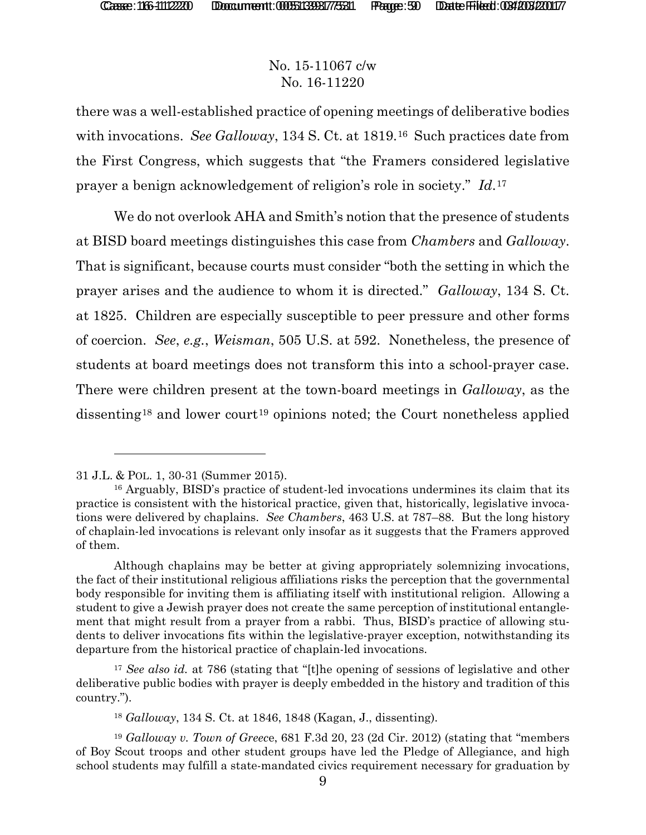## No. 15-11067 c/w No. 16-11220

there was a well-established practice of opening meetings of deliberative bodies with invocations. *See Galloway*, 134 S. Ct. at 1819.16 Such practices date from the First Congress, which suggests that "the Framers considered legislative prayer a benign acknowledgement of religion's role in society." *Id*.17

We do not overlook AHA and Smith's notion that the presence of students at BISD board meetings distinguishes this case from *Chambers* and *Galloway*. That is significant, because courts must consider "both the setting in which the prayer arises and the audience to whom it is directed." *Galloway*, 134 S. Ct. at 1825. Children are especially susceptible to peer pressure and other forms of coercion. *See*, *e.g.*, *Weisman*, 505 U.S. at 592. Nonetheless, the presence of students at board meetings does not transform this into a school-prayer case. There were children present at the town-board meetings in *Galloway*, as the dissenting<sup>18</sup> and lower court<sup>19</sup> opinions noted; the Court nonetheless applied

l

<sup>31</sup> J.L. & POL. 1, 30-31 (Summer 2015).

<sup>16</sup> Arguably, BISD's practice of student-led invocations undermines its claim that its practice is consistent with the historical practice, given that, historically, legislative invocations were delivered by chaplains. *See Chambers*, 463 U.S. at 787–88. But the long history of chaplain-led invocations is relevant only insofar as it suggests that the Framers approved of them.

Although chaplains may be better at giving appropriately solemnizing invocations, the fact of their institutional religious affiliations risks the perception that the governmental body responsible for inviting them is affiliating itself with institutional religion. Allowing a student to give a Jewish prayer does not create the same perception of institutional entanglement that might result from a prayer from a rabbi. Thus, BISD's practice of allowing students to deliver invocations fits within the legislative-prayer exception, notwithstanding its departure from the historical practice of chaplain-led invocations.

<sup>17</sup> *See also id.* at 786 (stating that "[t]he opening of sessions of legislative and other deliberative public bodies with prayer is deeply embedded in the history and tradition of this country.").

<sup>18</sup> *Galloway*, 134 S. Ct. at 1846, 1848 (Kagan, J., dissenting).

<sup>19</sup> *Galloway v. Town of Greec*e, 681 F.3d 20, 23 (2d Cir. 2012) (stating that "members of Boy Scout troops and other student groups have led the Pledge of Allegiance, and high school students may fulfill a state-mandated civics requirement necessary for graduation by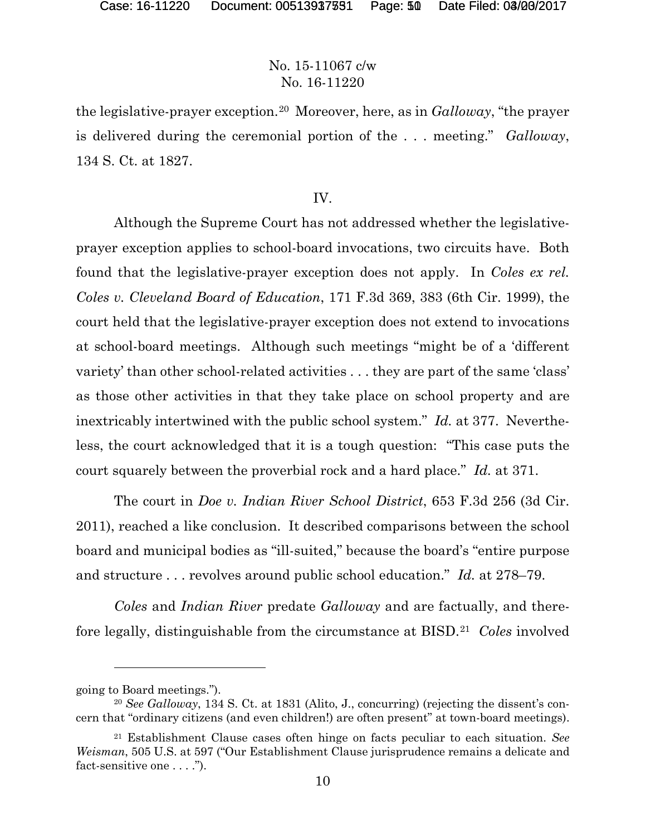#### No. 15-11067 c/w No. 16-11220

the legislative-prayer exception.20 Moreover, here, as in *Galloway*, "the prayer is delivered during the ceremonial portion of the . . . meeting." *Galloway*, 134 S. Ct. at 1827.

#### IV.

Although the Supreme Court has not addressed whether the legislativeprayer exception applies to school-board invocations, two circuits have. Both found that the legislative-prayer exception does not apply. In *Coles ex rel. Coles v. Cleveland Board of Education*, 171 F.3d 369, 383 (6th Cir. 1999), the court held that the legislative-prayer exception does not extend to invocations at school-board meetings. Although such meetings "might be of a 'different variety' than other school-related activities . . . they are part of the same 'class' as those other activities in that they take place on school property and are inextricably intertwined with the public school system." *Id.* at 377. Nevertheless, the court acknowledged that it is a tough question: "This case puts the court squarely between the proverbial rock and a hard place." *Id.* at 371.

The court in *Doe v. Indian River School District*, 653 F.3d 256 (3d Cir. 2011), reached a like conclusion. It described comparisons between the school board and municipal bodies as "ill-suited," because the board's "entire purpose and structure . . . revolves around public school education." *Id.* at 278–79.

*Coles* and *Indian River* predate *Galloway* and are factually, and therefore legally, distinguishable from the circumstance at BISD.21 *Coles* involved

 $\overline{a}$ 

going to Board meetings.").

<sup>20</sup> *See Galloway*, 134 S. Ct. at 1831 (Alito, J., concurring) (rejecting the dissent's concern that "ordinary citizens (and even children!) are often present" at town-board meetings).

<sup>21</sup> Establishment Clause cases often hinge on facts peculiar to each situation. *See Weisman*, 505 U.S. at 597 ("Our Establishment Clause jurisprudence remains a delicate and fact-sensitive one . . . .").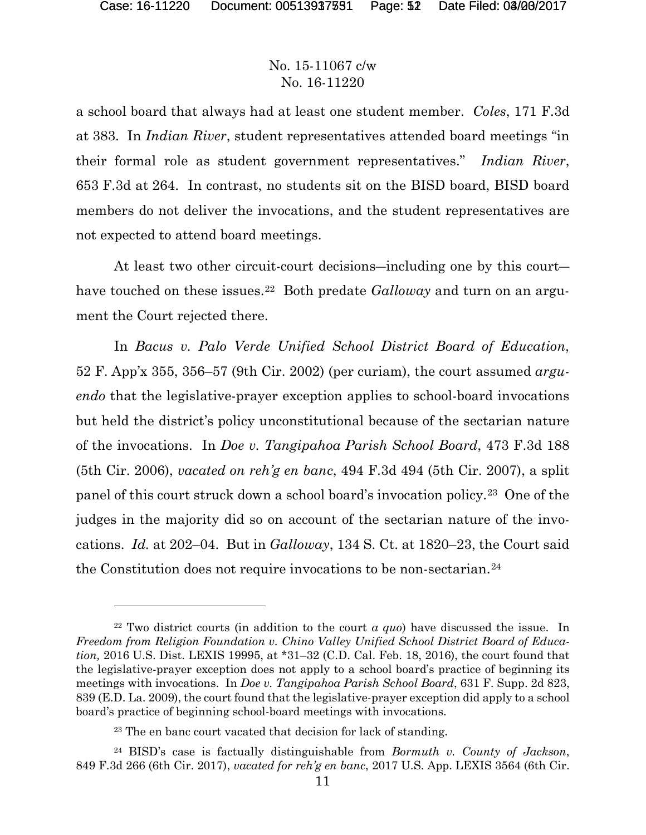#### No. 15-11067 c/w No. 16-11220

a school board that always had at least one student member. *Coles*, 171 F.3d at 383. In *Indian River*, student representatives attended board meetings "in their formal role as student government representatives." *Indian River*, 653 F.3d at 264. In contrast, no students sit on the BISD board, BISD board members do not deliver the invocations, and the student representatives are not expected to attend board meetings.

At least two other circuit-court decisions―including one by this court― have touched on these issues.<sup>22</sup> Both predate *Galloway* and turn on an argument the Court rejected there.

In *Bacus v. Palo Verde Unified School District Board of Education*, 52 F. App'x 355, 356–57 (9th Cir. 2002) (per curiam), the court assumed *arguendo* that the legislative-prayer exception applies to school-board invocations but held the district's policy unconstitutional because of the sectarian nature of the invocations. In *Doe v. Tangipahoa Parish School Board*, 473 F.3d 188 (5th Cir. 2006), *vacated on reh'g en banc*, 494 F.3d 494 (5th Cir. 2007), a split panel of this court struck down a school board's invocation policy.23 One of the judges in the majority did so on account of the sectarian nature of the invocations. *Id.* at 202–04. But in *Galloway*, 134 S. Ct. at 1820–23, the Court said the Constitution does not require invocations to be non-sectarian.<sup>24</sup>

<sup>22</sup> Two district courts (in addition to the court *a quo*) have discussed the issue. In *Freedom from Religion Foundation v. Chino Valley Unified School District Board of Education,* 2016 U.S. Dist. LEXIS 19995, at \*31–32 (C.D. Cal. Feb. 18, 2016), the court found that the legislative-prayer exception does not apply to a school board's practice of beginning its meetings with invocations. In *Doe v. Tangipahoa Parish School Board*, 631 F. Supp. 2d 823, 839 (E.D. La. 2009), the court found that the legislative-prayer exception did apply to a school board's practice of beginning school-board meetings with invocations.

<sup>23</sup> The en banc court vacated that decision for lack of standing.

<sup>24</sup> BISD's case is factually distinguishable from *Bormuth v. County of Jackson*, 849 F.3d 266 (6th Cir. 2017), *vacated for reh'g en banc*, 2017 U.S. App. LEXIS 3564 (6th Cir.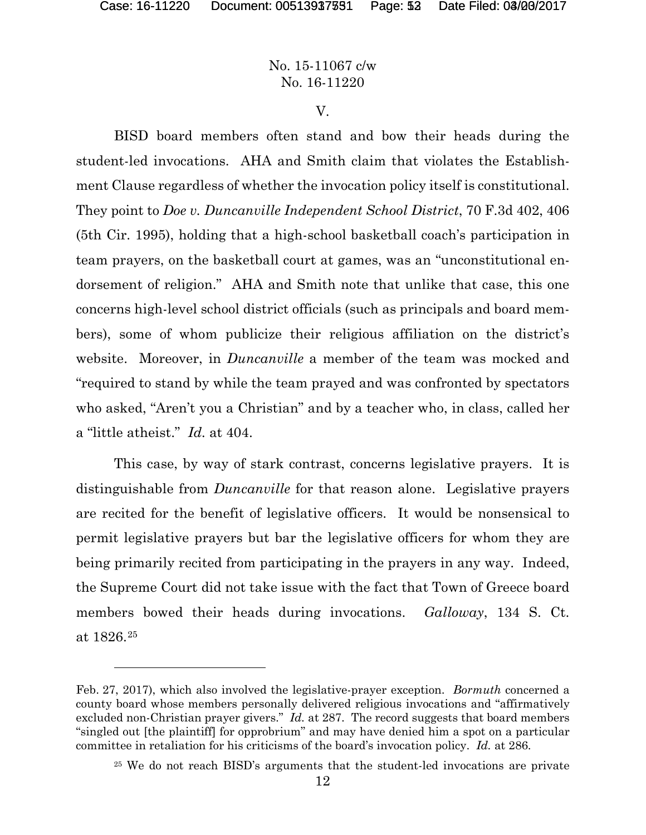# No. 15-11067 c/w No. 16-11220

V.

BISD board members often stand and bow their heads during the student-led invocations. AHA and Smith claim that violates the Establishment Clause regardless of whether the invocation policy itself is constitutional. They point to *Doe v. Duncanville Independent School District*, 70 F.3d 402, 406 (5th Cir. 1995), holding that a high-school basketball coach's participation in team prayers, on the basketball court at games, was an "unconstitutional endorsement of religion." AHA and Smith note that unlike that case, this one concerns high-level school district officials (such as principals and board members), some of whom publicize their religious affiliation on the district's website. Moreover, in *Duncanville* a member of the team was mocked and "required to stand by while the team prayed and was confronted by spectators who asked, "Aren't you a Christian" and by a teacher who, in class, called her a "little atheist." *Id.* at 404.

This case, by way of stark contrast, concerns legislative prayers. It is distinguishable from *Duncanville* for that reason alone. Legislative prayers are recited for the benefit of legislative officers. It would be nonsensical to permit legislative prayers but bar the legislative officers for whom they are being primarily recited from participating in the prayers in any way. Indeed, the Supreme Court did not take issue with the fact that Town of Greece board members bowed their heads during invocations. *Galloway*, 134 S. Ct. at 1826.25

Feb. 27, 2017), which also involved the legislative-prayer exception. *Bormuth* concerned a county board whose members personally delivered religious invocations and "affirmatively excluded non-Christian prayer givers." *Id.* at 287. The record suggests that board members "singled out [the plaintiff] for opprobrium" and may have denied him a spot on a particular committee in retaliation for his criticisms of the board's invocation policy. *Id.* at 286.

<sup>25</sup> We do not reach BISD's arguments that the student-led invocations are private